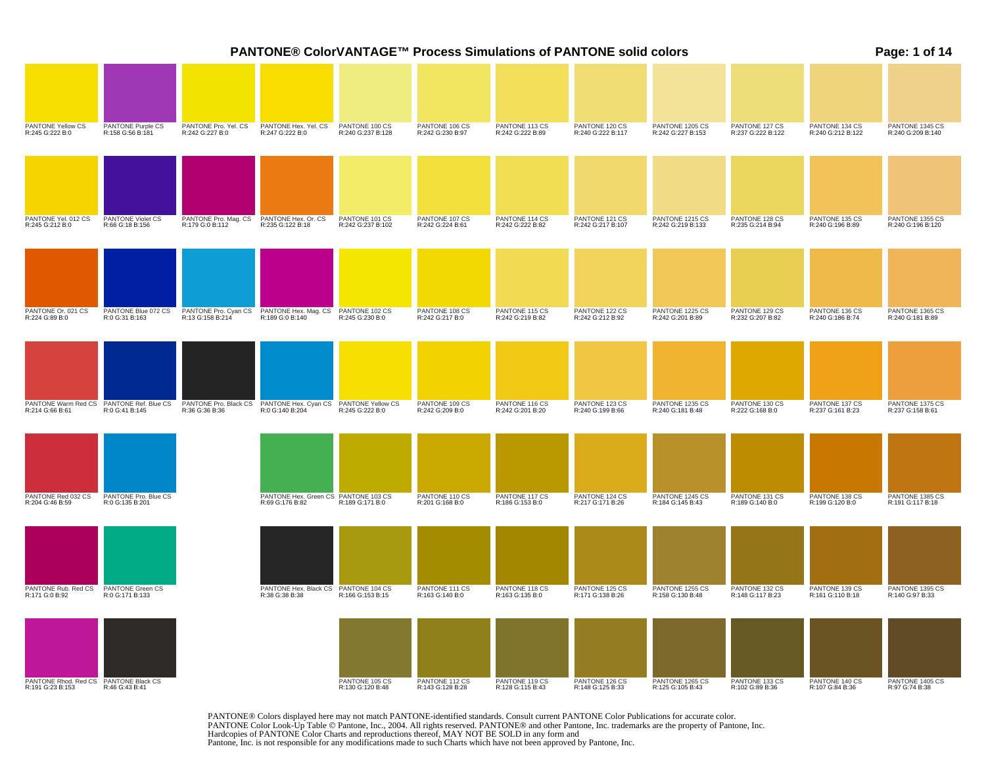|                                                            |                                          |                                          | <b>PANTONE® ColorVANTAGE™ Process Simulations of PANTONE solid colors</b> |                                     |                                    |                                    |                                     |                                      |                                     |                                     | Page: 1 of 14                        |
|------------------------------------------------------------|------------------------------------------|------------------------------------------|---------------------------------------------------------------------------|-------------------------------------|------------------------------------|------------------------------------|-------------------------------------|--------------------------------------|-------------------------------------|-------------------------------------|--------------------------------------|
|                                                            |                                          |                                          |                                                                           |                                     |                                    |                                    |                                     |                                      |                                     |                                     |                                      |
| PANTONE Yellow CS<br>R:245 G:222 B:0                       | PANTONE Purple CS<br>R:158 G:56 B:181    | PANTONE Pro. Yel. CS<br>R:242 G:227 B:0  | PANTONE Hex. Yel. CS<br>R:247 G:222 B:0                                   | PANTONE 100 CS<br>R:240 G:237 B:128 | PANTONE 106 CS<br>R:242 G:230 B:97 | PANTONE 113 CS<br>R:242 G:222 B:89 | PANTONE 120 CS<br>R:240 G:222 B:117 | PANTONE 1205 CS<br>R:242 G:227 B:153 | PANTONE 127 CS<br>R:237 G:222 B:122 | PANTONE 134 CS<br>R:240 G:212 B:122 | PANTONE 1345 CS<br>R:240 G:209 B:140 |
|                                                            |                                          |                                          |                                                                           |                                     |                                    |                                    |                                     |                                      |                                     |                                     |                                      |
|                                                            |                                          |                                          |                                                                           |                                     |                                    |                                    |                                     |                                      |                                     |                                     |                                      |
| PANTONE Yel. 012 CS<br>R:245 G:212 B:0                     | PANTONE Violet CS<br>R:66 G:18 B:156     | PANTONE Pro. Mag. CS<br>R:179 G:0 B:112  | PANTONE Hex. Or. CS<br>R:235 G:122 B:18                                   | PANTONE 101 CS<br>R:242 G:237 B:102 | PANTONE 107 CS<br>R:242 G:224 B:61 | PANTONE 114 CS<br>R:242 G:222 B:82 | PANTONE 121 CS<br>R:242 G:217 B:107 | PANTONE 1215 CS<br>R:242 G:219 B:133 | PANTONE 128 CS<br>R:235 G:214 B:94  | PANTONE 135 CS<br>R:240 G:196 B:89  | PANTONE 1355 CS<br>R:240 G:196 B:120 |
|                                                            |                                          |                                          |                                                                           |                                     |                                    |                                    |                                     |                                      |                                     |                                     |                                      |
|                                                            |                                          |                                          |                                                                           |                                     |                                    |                                    |                                     |                                      |                                     |                                     |                                      |
| PANTONE Or. 021 CS<br>R:224 G:89 B:0                       | PANTONE Blue 072 CS<br>R:0 G:31 B:163    | PANTONE Pro. Cyan CS<br>R:13 G:158 B:214 | PANTONE Hex. Mag. CS<br>R:189 G:0 B:140                                   | PANTONE 102 CS<br>R:245 G:230 B:0   | PANTONE 108 CS<br>R:242 G:217 B:0  | PANTONE 115 CS<br>R:242 G:219 B:82 | PANTONE 122 CS<br>R:242 G:212 B:92  | PANTONE 1225 CS<br>R:242 G:201 B:89  | PANTONE 129 CS<br>R:232 G:207 B:82  | PANTONE 136 CS<br>R:240 G:186 B:74  | PANTONE 1365 CS<br>R:240 G:181 B:89  |
|                                                            |                                          |                                          |                                                                           |                                     |                                    |                                    |                                     |                                      |                                     |                                     |                                      |
|                                                            | PANTONE Warm Red CS PANTONE Ref. Blue CS | PANTONE Pro. Black CS                    | PANTONE Hex. Cyan CS                                                      | PANTONE Yellow CS                   | PANTONE 109 CS                     | PANTONE 116 CS                     | PANTONE 123 CS                      | PANTONE 1235 CS                      | PANTONE 130 CS                      | PANTONE 137 CS                      | PANTONE 1375 CS                      |
| R:214 G:66 B:61                                            | R:0 G:41 B:145                           | R:36 G:36 B:36                           | R:0 G:140 B:204                                                           | R:245 G:222 B:0                     | R:242 G:209 B:0                    | R:242 G:201 B:20                   | R:240 G:199 B:66                    | R:240 G:181 B:48                     | R:222 G:168 B:0                     | R:237 G:161 B:23                    | R:237 G:158 B:61                     |
|                                                            |                                          |                                          |                                                                           |                                     |                                    |                                    |                                     |                                      |                                     |                                     |                                      |
| PANTONE Red 032 CS<br>R:204 G:46 B:59                      | PANTONE Pro. Blue CS<br>R:0 G:135 B:201  |                                          | PANTONE Hex. Green CS PANTONE 103 CS<br>R:69 G:176 B:82                   | R:189 G:171 B:0                     | PANTONE 110 CS<br>R:201 G:168 B:0  | PANTONE 117 CS<br>R:186 G:153 B:0  | PANTONE 124 CS<br>R:217 G:171 B:26  | PANTONE 1245 CS<br>R:184 G:145 B:43  | PANTONE 131 CS<br>R:189 G:140 B:0   | PANTONE 138 CS<br>R:199 G:120 B:0   | PANTONE 1385 CS<br>R:191 G:117 B:18  |
|                                                            |                                          |                                          |                                                                           |                                     |                                    |                                    |                                     |                                      |                                     |                                     |                                      |
| PANTONE Rub. Red CS<br>R:171 G:0 B:92                      | PANTONE Green CS<br>R:0 G:171 B:133      |                                          | PANTONE Hex. Black CS<br>R:38 G:38 B:38                                   | PANTONE 104 CS<br>R:166 G:153 B:15  | PANTONE 111 CS<br>R:163 G:140 B:0  | PANTONE 118 CS<br>R:163 G:135 B:0  | PANTONE 125 CS<br>R:171 G:138 B:26  | PANTONE 1255 CS<br>R:158 G:130 B:48  | PANTONE 132 CS<br>R:148 G:117 B:23  | PANTONE 139 CS<br>R:161 G:110 B:18  | PANTONE 1395 CS<br>R:140 G:97 B:33   |
|                                                            |                                          |                                          |                                                                           |                                     |                                    |                                    |                                     |                                      |                                     |                                     |                                      |
| PANTONE Rhod. Red CS<br>R:191 G:23 B:153<br>R:46 G:43 B:41 |                                          |                                          |                                                                           | PANTONE 105 CS<br>R:130 G:120 B:48  | PANTONE 112 CS<br>R:143 G:128 B:28 | PANTONE 119 CS<br>R:128 G:115 B:43 | PANTONE 126 CS<br>R:148 G:125 B:33  | PANTONE 1265 CS<br>R:125 G:105 B:43  | PANTONE 133 CS<br>R:102 G:89 B:36   | PANTONE 140 CS<br>R:107 G:84 B:36   | PANTONE 1405 CS<br>R:97 G:74 B:38    |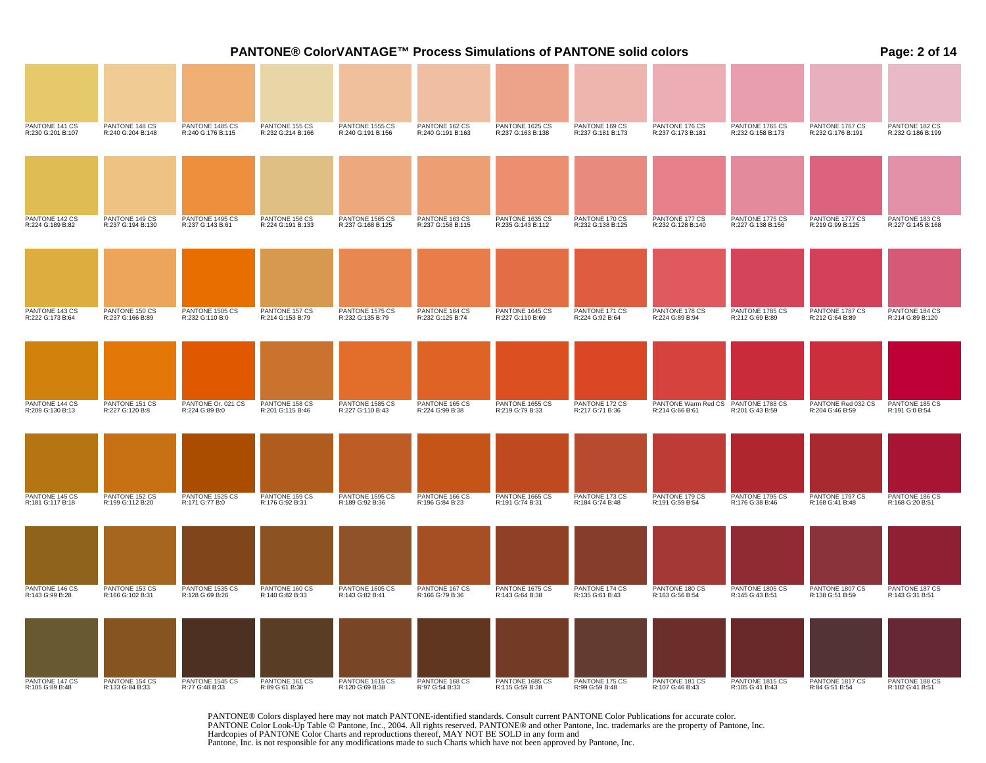|                                     |                                     |                                      |                                     |                                      |                                     | PANTONE® ColorVANTAGE™ Process Simulations of PANTONE solid colors |                                     |                                        |                                      |                                       | Page: 2 of 14                       |
|-------------------------------------|-------------------------------------|--------------------------------------|-------------------------------------|--------------------------------------|-------------------------------------|--------------------------------------------------------------------|-------------------------------------|----------------------------------------|--------------------------------------|---------------------------------------|-------------------------------------|
|                                     |                                     |                                      |                                     |                                      |                                     |                                                                    |                                     |                                        |                                      |                                       |                                     |
| PANTONE 141 CS<br>R:230 G:201 B:107 | PANTONE 148 CS<br>R:240 G:204 B:148 | PANTONE 1485 CS<br>R:240 G:176 B:115 | PANTONE 155 CS<br>R:232 G:214 B:166 | PANTONE 1555 CS<br>R:240 G:191 B:156 | PANTONE 162 CS<br>R:240 G:191 B:163 | PANTONE 1625 CS<br>R:237 G:163 B:138                               | PANTONE 169 CS<br>R:237 G:181 B:173 | PANTONE 176 CS<br>R:237 G:173 B:181    | PANTONE 1765 CS<br>R:232 G:158 B:173 | PANTONE 1767 CS<br>R:232 G:176 B:191  | PANTONE 182 CS<br>R:232 G:186 B:199 |
|                                     |                                     |                                      |                                     |                                      |                                     |                                                                    |                                     |                                        |                                      |                                       |                                     |
| PANTONE 142 CS<br>R:224 G:189 B:82  | PANTONE 149 CS<br>R:237 G:194 B:130 | PANTONE 1495 CS<br>R:237 G:143 B:61  | PANTONE 156 CS<br>R:224 G:191 B:133 | PANTONE 1565 CS<br>R:237 G:168 B:125 | PANTONE 163 CS<br>R:237 G:158 B:115 | PANTONE 1635 CS<br>R:235 G:143 B:112                               | PANTONE 170 CS<br>R:232 G:138 B:125 | PANTONE 177 CS<br>R:232 G:128 B:140    | PANTONE 1775 CS<br>R:227 G:138 B:156 | PANTONE 1777 CS<br>R:219 G:99 B:125   | PANTONE 183 CS<br>R:227 G:145 B:168 |
|                                     |                                     |                                      |                                     |                                      |                                     |                                                                    |                                     |                                        |                                      |                                       |                                     |
| PANTONE 143 CS<br>R:222 G:173 B:64  | PANTONE 150 CS<br>R:237 G:166 B:89  | PANTONE 1505 CS<br>R:232 G:110 B:0   | PANTONE 157 CS<br>R:214 G:153 B:79  | PANTONE 1575 CS<br>R:232 G:135 B:79  | PANTONE 164 CS<br>R:232 G:125 B:74  | PANTONE 1645 CS<br>R:227 G:110 B:69                                | PANTONE 171 CS<br>R:224 G:92 B:64   | PANTONE 178 CS<br>R:224 G:89 B:94      | PANTONE 1785 CS<br>R:212 G:69 B:89   | PANTONE 1787 CS<br>R:212 G:64 B:89    | PANTONE 184 CS<br>R:214 G:89 B:120  |
|                                     |                                     |                                      |                                     |                                      |                                     |                                                                    |                                     |                                        |                                      |                                       |                                     |
| PANTONE 144 CS<br>R:209 G:130 B:13  | PANTONE 151 CS<br>R:227 G:120 B:8   | PANTONE Or. 021 CS<br>R:224 G:89 B:0 | PANTONE 158 CS<br>R:201 G:115 B:46  | PANTONE 1585 CS<br>R:227 G:110 B:43  | PANTONE 165 CS<br>R:224 G:99 B:38   | PANTONE 1655 CS<br>R:219 G:79 B:33                                 | PANTONE 172 CS<br>R:217 G:71 B:36   | PANTONE Warm Red CS<br>R:214 G:66 B:61 | PANTONE 1788 CS<br>R:201 G:43 B:59   | PANTONE Red 032 CS<br>R:204 G:46 B:59 | PANTONE 185 CS<br>R:191 G:0 B:54    |
|                                     |                                     |                                      |                                     |                                      |                                     |                                                                    |                                     |                                        |                                      |                                       |                                     |
| PANTONE 145 CS<br>R:181 G:117 B:18  | PANTONE 152 CS<br>R:199 G:112 B:20  | PANTONE 1525 CS<br>R:171 G:77 B:0    | PANTONE 159 CS<br>R:176 G:92 B:31   | PANTONE 1595 CS<br>R:189 G:92 B:36   | PANTONE 166 CS<br>R:196 G:84 B:23   | PANTONE 1665 CS<br>R:191 G:74 B:31                                 | PANTONE 173 CS<br>R:184 G:74 B:48   | PANTONE 179 CS<br>R:191 G:59 B:54      | PANTONE 1795 CS<br>R:176 G:38 B:46   | PANTONE 1797 CS<br>R:168 G:41 B:48    | PANTONE 186 CS<br>R:168 G:20 B:51   |
|                                     |                                     |                                      |                                     |                                      |                                     |                                                                    |                                     |                                        |                                      |                                       |                                     |
| PANTONE 146 CS<br>R:143 G:99 B:28   | PANTONE 153 CS<br>R:166 G:102 B:31  | PANTONE 1535 CS<br>R:128 G:69 B:26   | PANTONE 160 CS<br>R:140 G:82 B:33   | PANTONE 1605 CS<br>R:143 G:82 B:41   | PANTONE 167 CS<br>R:166 G:79 B:36   | PANTONE 1675 CS<br>R:143 G:64 B:38                                 | PANTONE 174 CS<br>R:135 G:61 B:43   | PANTONE 180 CS<br>R:163 G:56 B:54      | PANTONE 1805 CS<br>R:145 G:43 B:51   | PANTONE 1807 CS<br>R:138 G:51 B:59    | PANTONE 187 CS<br>R:143 G:31 B:51   |
|                                     |                                     |                                      |                                     |                                      |                                     |                                                                    |                                     |                                        |                                      |                                       |                                     |
| PANTONE 147 CS<br>R:105 G:89 B:48   | PANTONE 154 CS<br>R:133 G:84 B:33   | PANTONE 1545 CS<br>R:77 G:48 B:33    | PANTONE 161 CS<br>R:89 G:61 B:36    | PANTONE 1615 CS<br>R:120 G:69 B:38   | PANTONE 168 CS<br>R:97 G:54 B:33    | PANTONE 1685 CS<br>R:115 G:59 B:38                                 | PANTONE 175 CS<br>R:99 G:59 B:48    | PANTONE 181 CS<br>R:107 G:46 B:43      | PANTONE 1815 CS<br>R:105 G:41 B:43   | PANTONE 1817 CS<br>R:84 G:51 B:54     | PANTONE 188 CS<br>R:102 G:41 B:51   |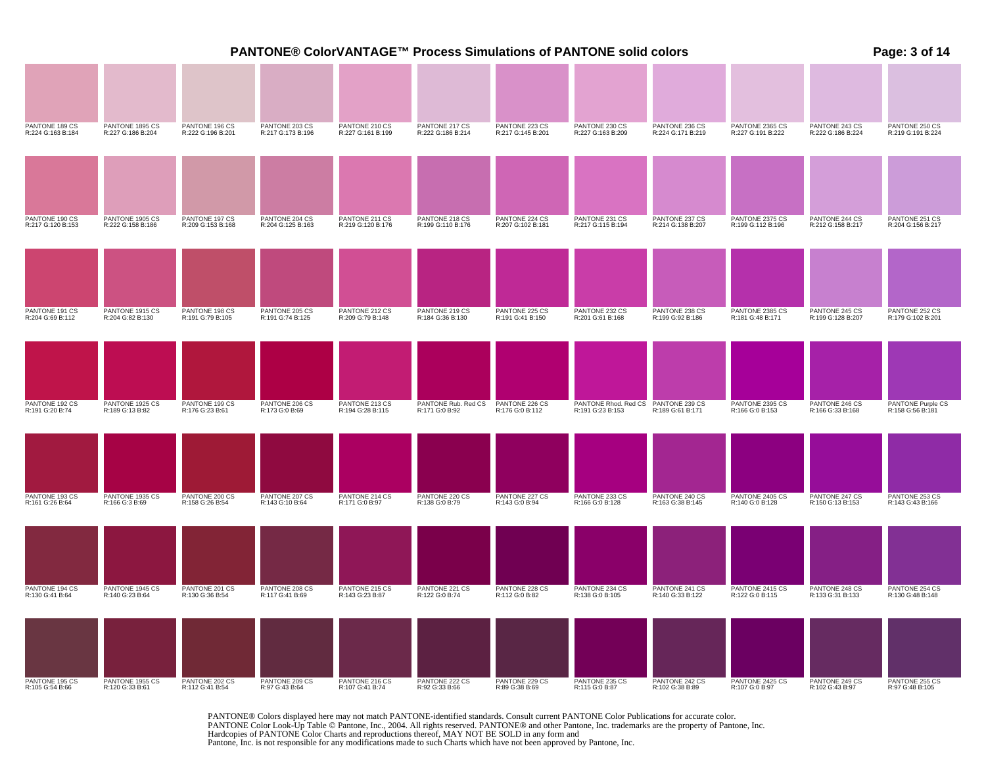|                                     |                                      |                                     |                                     |                                     |                                     |                                     | PANTONE® ColorVANTAGE™ Process Simulations of PANTONE solid colors |                                     |                                      |                                     | Page: 3 of 14                         |
|-------------------------------------|--------------------------------------|-------------------------------------|-------------------------------------|-------------------------------------|-------------------------------------|-------------------------------------|--------------------------------------------------------------------|-------------------------------------|--------------------------------------|-------------------------------------|---------------------------------------|
|                                     |                                      |                                     |                                     |                                     |                                     |                                     |                                                                    |                                     |                                      |                                     |                                       |
| PANTONE 189 CS<br>R:224 G:163 B:184 | PANTONE 1895 CS<br>R:227 G:186 B:204 | PANTONE 196 CS<br>R:222 G:196 B:201 | PANTONE 203 CS<br>R:217 G:173 B:196 | PANTONE 210 CS<br>R:227 G:161 B:199 | PANTONE 217 CS<br>R:222 G:186 B:214 | PANTONE 223 CS<br>R:217 G:145 B:201 | PANTONE 230 CS<br>R:227 G:163 B:209                                | PANTONE 236 CS<br>R:224 G:171 B:219 | PANTONE 2365 CS<br>R:227 G:191 B:222 | PANTONE 243 CS<br>R:222 G:186 B:224 | PANTONE 250 CS<br>R:219 G:191 B:224   |
|                                     |                                      |                                     |                                     |                                     |                                     |                                     |                                                                    |                                     |                                      |                                     |                                       |
| PANTONE 190 CS<br>R:217 G:120 B:153 | PANTONE 1905 CS<br>R:222 G:158 B:186 | PANTONE 197 CS<br>R:209 G:153 B:168 | PANTONE 204 CS<br>R:204 G:125 B:163 | PANTONE 211 CS<br>R:219 G:120 B:176 | PANTONE 218 CS<br>R:199 G:110 B:176 | PANTONE 224 CS<br>R:207 G:102 B:181 | PANTONE 231 CS<br>R:217 G:115 B:194                                | PANTONE 237 CS<br>R:214 G:138 B:207 | PANTONE 2375 CS<br>R:199 G:112 B:196 | PANTONE 244 CS<br>R:212 G:158 B:217 | PANTONE 251 CS<br>R:204 G:156 B:217   |
|                                     |                                      |                                     |                                     | PANTONE 212 CS                      |                                     |                                     |                                                                    | PANTONE 238 CS                      |                                      |                                     |                                       |
| PANTONE 191 CS<br>R:204 G:69 B:112  | PANTONE 1915 CS<br>R:204 G:82 B:130  | PANTONE 198 CS<br>R:191 G:79 B:105  | PANTONE 205 CS<br>R:191 G:74 B:125  | R:209 G:79 B:148                    | PANTONE 219 CS<br>R:184 G:36 B:130  | PANTONE 225 CS<br>R:191 G:41 B:150  | PANTONE 232 CS<br>R:201 G:61 B:168                                 | R:199 G:92 B:186                    | PANTONE 2385 CS<br>R:181 G:48 B:171  | PANTONE 245 CS<br>R:199 G:128 B:207 | PANTONE 252 CS<br>R:179 G:102 B:201   |
| PANTONE 192 CS                      | PANTONE 1925 CS                      | PANTONE 199 CS                      | PANTONE 206 CS                      | PANTONE 213 CS                      | PANTONE Rub. Red CS                 | PANTONE 226 CS                      | PANTONE Rhod. Red CS                                               | PANTONE 239 CS                      | PANTONE 2395 CS                      | PANTONE 246 CS                      |                                       |
| R:191 G:20 B:74                     | R:189 G:13 B:82                      | R:176 G:23 B:61                     | R:173 G:0 B:69                      | R:194 G:28 B:115                    | R:171 G:0 B:92                      | R:176 G:0 B:112                     | R:191 G:23 B:153                                                   | R:189 G:61 B:171                    | R:166 G:0 B:153                      | R:166 G:33 B:168                    | PANTONE Purple CS<br>R:158 G:56 B:181 |
|                                     |                                      |                                     |                                     |                                     |                                     |                                     |                                                                    |                                     |                                      |                                     |                                       |
| PANTONE 193 CS<br>R:161 G:26 B:64   | PANTONE 1935 CS<br>R:166 G:3 B:69    | PANTONE 200 CS<br>R:158 G:26 B:54   | PANTONE 207 CS<br>R:143 G:10 B:64   | PANTONE 214 CS<br>R:171 G:0 B:97    | PANTONE 220 CS<br>R:138 G:0 B:79    | PANTONE 227 CS<br>R:143 G:0 B:94    | PANTONE 233 CS<br>R:166 G:0 B:128                                  | PANTONE 240 CS<br>R:163 G:38 B:145  | PANTONE 2405 CS<br>R:140 G:0 B:128   | PANTONE 247 CS<br>R:150 G:13 B:153  | PANTONE 253 CS<br>R:143 G:43 B:166    |
|                                     |                                      |                                     |                                     |                                     |                                     |                                     |                                                                    |                                     |                                      |                                     |                                       |
| PANTONE 194 CS<br>R:130 G:41 B:64   | PANTONE 1945 CS<br>R:140 G:23 B:64   | PANTONE 201 CS<br>R:130 G:36 B:54   | PANTONE 208 CS<br>R:117 G:41 B:69   | PANTONE 215 CS<br>R:143 G:23 B:87   | PANTONE 221 CS<br>R:122 G:0 B:74    | PANTONE 228 CS<br>R:112 G:0 B:82    | PANTONE 234 CS<br>R:138 G:0 B:105                                  | PANTONE 241 CS<br>R:140 G:33 B:122  | PANTONE 2415 CS<br>R:122 G:0 B:115   | PANTONE 248 CS<br>R:133 G:31 B:133  | PANTONE 254 CS<br>R:130 G:48 B:148    |
|                                     |                                      |                                     |                                     |                                     |                                     |                                     |                                                                    |                                     |                                      |                                     |                                       |
| PANTONE 195 CS<br>R:105 G:54 B:66   | PANTONE 1955 CS<br>R:120 G:33 B:61   | PANTONE 202 CS<br>R:112 G:41 B:54   | PANTONE 209 CS<br>R:97 G:43 B:64    | PANTONE 216 CS<br>R:107 G:41 B:74   | PANTONE 222 CS<br>R:92 G:33 B:66    | PANTONE 229 CS<br>R:89 G:38 B:69    | PANTONE 235 CS<br>R:115 G:0 B:87                                   | PANTONE 242 CS<br>R:102 G:38 B:89   | PANTONE 2425 CS<br>R:107 G:0 B:97    | PANTONE 249 CS<br>R:102 G:43 B:97   | PANTONE 255 CS<br>R:97 G:48 B:105     |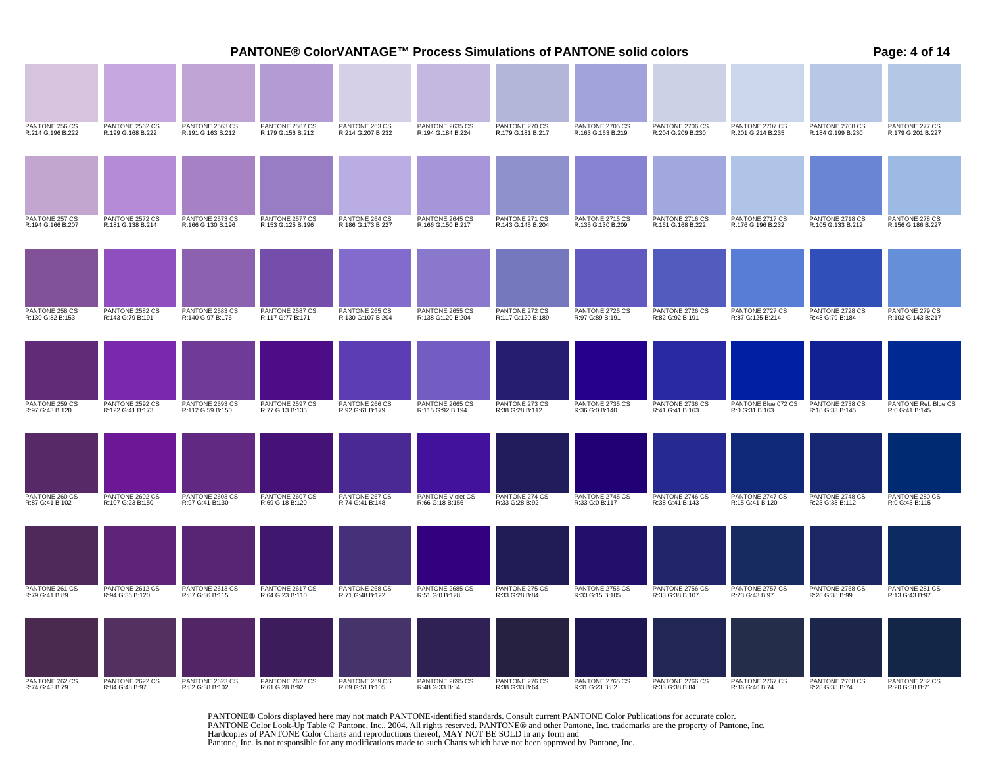|                                     |                                      |                                      |                                      |                                     |                                      |                                     | PANTONE® ColorVANTAGE™ Process Simulations of PANTONE solid colors |                                      |                                       |                                      | Page: 4 of 14                          |
|-------------------------------------|--------------------------------------|--------------------------------------|--------------------------------------|-------------------------------------|--------------------------------------|-------------------------------------|--------------------------------------------------------------------|--------------------------------------|---------------------------------------|--------------------------------------|----------------------------------------|
|                                     |                                      |                                      |                                      |                                     |                                      |                                     |                                                                    |                                      |                                       |                                      |                                        |
| PANTONE 256 CS<br>R:214 G:196 B:222 | PANTONE 2562 CS<br>R:199 G:168 B:222 | PANTONE 2563 CS<br>R:191 G:163 B:212 | PANTONE 2567 CS<br>R:179 G:156 B:212 | PANTONE 263 CS<br>R:214 G:207 B:232 | PANTONE 2635 CS<br>R:194 G:184 B:224 | PANTONE 270 CS<br>R:179 G:181 B:217 | PANTONE 2705 CS<br>R:163 G:163 B:219                               | PANTONE 2706 CS<br>R:204 G:209 B:230 | PANTONE 2707 CS<br>R:201 G:214 B:235  | PANTONE 2708 CS<br>R:184 G:199 B:230 | PANTONE 277 CS<br>R:179 G:201 B:227    |
|                                     |                                      |                                      |                                      |                                     |                                      |                                     |                                                                    |                                      |                                       |                                      |                                        |
| PANTONE 257 CS<br>R:194 G:166 B:207 | PANTONE 2572 CS<br>R:181 G:138 B:214 | PANTONE 2573 CS<br>R:166 G:130 B:196 | PANTONE 2577 CS<br>R:153 G:125 B:196 | PANTONE 264 CS<br>R:186 G:173 B:227 | PANTONE 2645 CS<br>R:166 G:150 B:217 | PANTONE 271 CS<br>R:143 G:145 B:204 | PANTONE 2715 CS<br>R:135 G:130 B:209                               | PANTONE 2716 CS<br>R:161 G:168 B:222 | PANTONE 2717 CS<br>R:176 G:196 B:232  | PANTONE 2718 CS<br>R:105 G:133 B:212 | PANTONE 278 CS<br>R:156 G:186 B:227    |
|                                     |                                      |                                      |                                      |                                     |                                      |                                     |                                                                    |                                      |                                       |                                      |                                        |
| PANTONE 258 CS<br>R:130 G:82 B:153  | PANTONE 2582 CS<br>R:143 G:79 B:191  | PANTONE 2583 CS<br>R:140 G:97 B:176  | PANTONE 2587 CS<br>R:117 G:77 B:171  | PANTONE 265 CS<br>R:130 G:107 B:204 | PANTONE 2655 CS<br>R:138 G:120 B:204 | PANTONE 272 CS<br>R:117 G:120 B:189 | PANTONE 2725 CS<br>R:97 G:89 B:191                                 | PANTONE 2726 CS<br>R:82 G:92 B:191   | PANTONE 2727 CS<br>R:87 G:125 B:214   | PANTONE 2728 CS<br>R:48 G:79 B:184   | PANTONE 279 CS<br>R:102 G:143 B:217    |
|                                     |                                      |                                      |                                      |                                     |                                      |                                     |                                                                    |                                      |                                       |                                      |                                        |
| PANTONE 259 CS<br>R:97 G:43 B:120   | PANTONE 2592 CS<br>R:122 G:41 B:173  | PANTONE 2593 CS<br>R:112 G:59 B:150  | PANTONE 2597 CS<br>R:77 G:13 B:135   | PANTONE 266 CS<br>R:92 G:61 B:179   | PANTONE 2665 CS<br>R:115 G:92 B:194  | PANTONE 273 CS<br>R:38 G:28 B:112   | PANTONE 2735 CS<br>R:36 G:0 B:140                                  | PANTONE 2736 CS<br>R:41 G:41 B:163   | PANTONE Blue 072 CS<br>R:0 G:31 B:163 | PANTONE 2738 CS<br>R:18 G:33 B:145   | PANTONE Ref. Blue CS<br>R:0 G:41 B:145 |
|                                     |                                      |                                      |                                      |                                     |                                      |                                     |                                                                    |                                      |                                       |                                      |                                        |
| PANTONE 260 CS<br>R:87 G:41 B:102   | PANTONE 2602 CS<br>R:107 G:23 B:150  | PANTONE 2603 CS<br>R:97 G:41 B:130   | PANTONE 2607 CS<br>R:69 G:18 B:120   | PANTONE 267 CS<br>R:74 G:41 B:148   | PANTONE Violet CS<br>R:66 G:18 B:156 | PANTONE 274 CS<br>R:33 G:28 B:92    | PANTONE 2745 CS<br>R:33 G:0 B:117                                  | PANTONE 2746 CS<br>R:38 G:41 B:143   | PANTONE 2747 CS<br>R:15 G:41 B:120    | PANTONE 2748 CS<br>R:23 G:38 B:112   | PANTONE 280 CS<br>R:0 G:43 B:115       |
|                                     |                                      |                                      |                                      |                                     |                                      |                                     |                                                                    |                                      |                                       |                                      |                                        |
| PANTONE 261 CS<br>R:79 G:41 B:89    | PANTONE 2612 CS<br>R:94 G:36 B:120   | PANTONE 2613 CS<br>R:87 G:36 B:115   | PANTONE 2617 CS<br>R:64 G:23 B:110   | PANTONE 268 CS<br>R:71 G:48 B:122   | PANTONE 2685 CS<br>R:51 G:0 B:128    | PANTONE 275 CS<br>R:33 G:28 B:84    | PANTONE 2755 CS<br>R:33 G:15 B:105                                 | PANTONE 2756 CS<br>R:33 G:38 B:107   | PANTONE 2757 CS<br>R:23 G:43 B:97     | PANTONE 2758 CS<br>R:28 G:38 B:99    | PANTONE 281 CS<br>R:13 G:43 B:97       |
|                                     |                                      |                                      |                                      |                                     |                                      |                                     |                                                                    |                                      |                                       |                                      |                                        |
| PANTONE 262 CS<br>R:74 G:43 B:79    | PANTONE 2622 CS<br>R:84 G:48 B:97    | PANTONE 2623 CS<br>R:82 G:38 B:102   | PANTONE 2627 CS<br>R:61 G:28 B:92    | PANTONE 269 CS<br>R:69 G:51 B:105   | PANTONE 2695 CS<br>R:48 G:33 B:84    | PANTONE 276 CS<br>R:38 G:33 B:64    | PANTONE 2765 CS<br>R:31 G:23 B:82                                  | PANTONE 2766 CS<br>R:33 G:38 B:84    | PANTONE 2767 CS<br>R:36 G:46 B:74     | PANTONE 2768 CS<br>R:28 G:38 B:74    | PANTONE 282 CS<br>R:20 G:38 B:71       |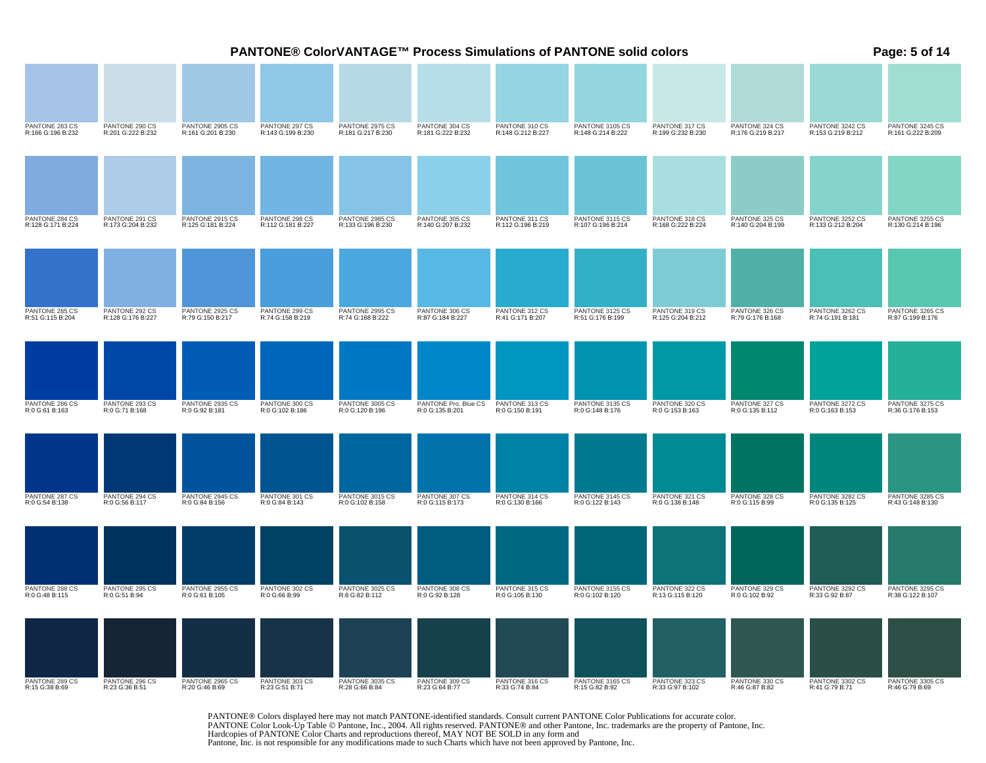|                                     |                                     |                                      |                                     |                                      | PANTONE® ColorVANTAGE™ Process Simulations of PANTONE solid colors |                                     |                                      |                                     |                                     |                                      | Page: 5 of 14                        |
|-------------------------------------|-------------------------------------|--------------------------------------|-------------------------------------|--------------------------------------|--------------------------------------------------------------------|-------------------------------------|--------------------------------------|-------------------------------------|-------------------------------------|--------------------------------------|--------------------------------------|
|                                     |                                     |                                      |                                     |                                      |                                                                    |                                     |                                      |                                     |                                     |                                      |                                      |
| PANTONE 283 CS<br>R:166 G:196 B:232 | PANTONE 290 CS<br>R:201 G:222 B:232 | PANTONE 2905 CS<br>R:161 G:201 B:230 | PANTONE 297 CS<br>R:143 G:199 B:230 | PANTONE 2975 CS<br>R:181 G:217 B:230 | PANTONE 304 CS<br>R:181 G:222 B:232                                | PANTONE 310 CS<br>R:148 G:212 B:227 | PANTONE 3105 CS<br>R:148 G:214 B:222 | PANTONE 317 CS<br>R:199 G:232 B:230 | PANTONE 324 CS<br>R:176 G:219 B:217 | PANTONE 3242 CS<br>R:153 G:219 B:212 | PANTONE 3245 CS<br>R:161 G:222 B:209 |
|                                     |                                     |                                      |                                     |                                      |                                                                    |                                     |                                      |                                     |                                     |                                      |                                      |
| PANTONE 284 CS<br>R:128 G:171 B:224 | PANTONE 291 CS<br>R:173 G:204 B:232 | PANTONE 2915 CS<br>R:125 G:181 B:224 | PANTONE 298 CS<br>R:112 G:181 B:227 | PANTONE 2985 CS<br>R:133 G:196 B:230 | PANTONE 305 CS<br>R:140 G:207 B:232                                | PANTONE 311 CS<br>R:112 G:196 B:219 | PANTONE 3115 CS<br>R:107 G:196 B:214 | PANTONE 318 CS<br>R:168 G:222 B:224 | PANTONE 325 CS<br>R:140 G:204 B:199 | PANTONE 3252 CS<br>R:133 G:212 B:204 | PANTONE 3255 CS<br>R:130 G:214 B:196 |
| PANTONE 285 CS<br>R:51 G:115 B:204  | PANTONE 292 CS                      | PANTONE 2925 CS                      | PANTONE 299 CS                      | PANTONE 2995 CS                      | PANTONE 306 CS                                                     | PANTONE 312 CS                      | PANTONE 3125 CS                      | PANTONE 319 CS                      | PANTONE 326 CS                      | PANTONE 3262 CS                      | PANTONE 3265 CS                      |
|                                     | R:128 G:176 B:227                   | R:79 G:150 B:217                     | R:74 G:158 B:219                    | R:74 G:168 B:222                     | R:87 G:184 B:227                                                   | R:41 G:171 B:207                    | R:51 G:176 B:199                     | R:125 G:204 B:212                   | R:79 G:176 B:168                    | R:74 G:191 B:181                     | R:87 G:199 B:176                     |
| PANTONE 286 CS                      | PANTONE 293 CS                      | PANTONE 2935 CS                      | PANTONE 300 CS                      | PANTONE 3005 CS                      | PANTONE Pro. Blue CS                                               | PANTONE 313 CS                      | PANTONE 3135 CS                      | PANTONE 320 CS                      | PANTONE 327 CS                      | PANTONE 3272 CS                      | PANTONE 3275 CS                      |
| R:0 G:61 B:163                      | R:0 G:71 B:168                      | R:0 G:92 B:181                       | R:0 G:102 B:186                     | R:0 G:120 B:196                      | R:0 G:135 B:201                                                    | R:0 G:150 B:191                     | R:0 G:148 B:176                      | R:0 G:153 B:163                     | R:0 G:135 B:112                     | R:0 G:163 B:153                      | R:36 G:176 B:153                     |
|                                     |                                     |                                      |                                     |                                      |                                                                    |                                     |                                      |                                     |                                     |                                      |                                      |
| PANTONE 287 CS<br>R:0 G:54 B:138    | PANTONE 294 CS<br>R:0 G:56 B:117    | PANTONE 2945 CS<br>R:0 G:84 B:156    | PANTONE 301 CS<br>R:0 G:84 B:143    | PANTONE 3015 CS<br>R:0 G:102 B:158   | PANTONE 307 CS<br>R:0 G:115 B:173                                  | PANTONE 314 CS<br>R:0 G:130 B:166   | PANTONE 3145 CS<br>R:0 G:122 B:143   | PANTONE 321 CS<br>R:0 G:138 B:148   | PANTONE 328 CS<br>R:0 G:115 B:99    | PANTONE 3282 CS<br>R:0 G:135 B:125   | PANTONE 3285 CS<br>R:43 G:148 B:130  |
|                                     |                                     |                                      |                                     |                                      |                                                                    |                                     |                                      |                                     |                                     |                                      |                                      |
| PANTONE 288 CS<br>R:0 G:48 B:115    | PANTONE 295 CS<br>R:0 G:51 B:94     | PANTONE 2955 CS<br>R:0 G:61 B:105    | PANTONE 302 CS<br>R:0 G:66 B:99     | PANTONE 3025 CS<br>R:8 G:82 B:112    | PANTONE 308 CS<br>R:0 G:92 B:128                                   | PANTONE 315 CS<br>R:0 G:105 B:130   | PANTONE 3155 CS<br>R:0 G:102 B:120   | PANTONE 322 CS<br>R:13 G:115 B:120  | PANTONE 329 CS<br>R:0 G:102 B:92    | PANTONE 3292 CS<br>R:33 G:92 B:87    | PANTONE 3295 CS<br>R:38 G:122 B:107  |
| PANTONE 289 CS                      | PANTONE 296 CS                      | PANTONE 2965 CS                      | PANTONE 303 CS                      | PANTONE 3035 CS                      | PANTONE 309 CS                                                     | PANTONE 316 CS                      | PANTONE 3165 CS                      | PANTONE 323 CS                      | PANTONE 330 CS                      | PANTONE 3302 CS                      | PANTONE 3305 CS                      |
| R:15 G:38 B:69                      | R:23 G:36 B:51                      | R:20 G:46 B:69                       | R:23 G:51 B:71                      | R:28 G:66 B:84                       | R:23 G:64 B:77                                                     | R:33 G:74 B:84                      | R:15 G:82 B:92                       | R:33 G:97 B:102                     | R:46 G:87 B:82                      | R:41 G:79 B:71                       | R:46 G:79 B:69                       |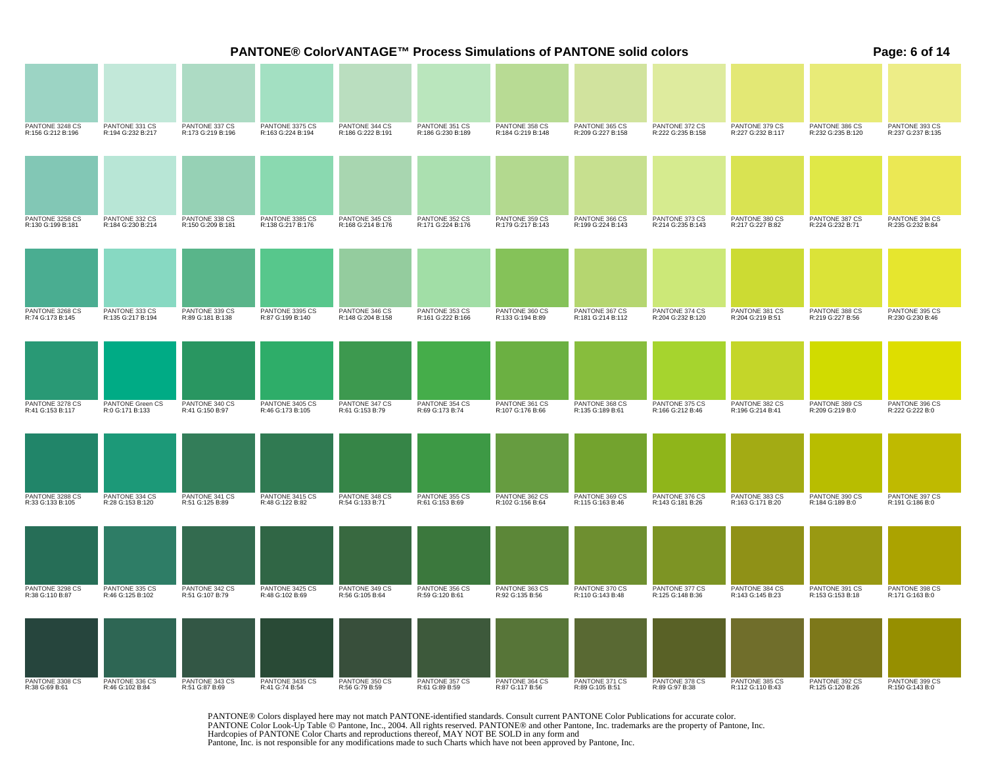|                                      |                                     |                                     | PANTONE® ColorVANTAGE™ Process Simulations of PANTONE solid colors |                                     |                                     |                                     |                                     |                                     |                                     |                                     | Page: 6 of 14                       |
|--------------------------------------|-------------------------------------|-------------------------------------|--------------------------------------------------------------------|-------------------------------------|-------------------------------------|-------------------------------------|-------------------------------------|-------------------------------------|-------------------------------------|-------------------------------------|-------------------------------------|
|                                      |                                     |                                     |                                                                    |                                     |                                     |                                     |                                     |                                     |                                     |                                     |                                     |
| PANTONE 3248 CS<br>R:156 G:212 B:196 | PANTONE 331 CS<br>R:194 G:232 B:217 | PANTONE 337 CS<br>R:173 G:219 B:196 | PANTONE 3375 CS<br>R:163 G:224 B:194                               | PANTONE 344 CS<br>R:186 G:222 B:191 | PANTONE 351 CS<br>R:186 G:230 B:189 | PANTONE 358 CS<br>R:184 G:219 B:148 | PANTONE 365 CS<br>R:209 G:227 B:158 | PANTONE 372 CS<br>R:222 G:235 B:158 | PANTONE 379 CS<br>R:227 G:232 B:117 | PANTONE 386 CS<br>R:232 G:235 B:120 | PANTONE 393 CS<br>R:237 G:237 B:135 |
|                                      |                                     |                                     |                                                                    |                                     |                                     |                                     |                                     |                                     |                                     |                                     |                                     |
| PANTONE 3258 CS<br>R:130 G:199 B:181 | PANTONE 332 CS<br>R:184 G:230 B:214 | PANTONE 338 CS<br>R:150 G:209 B:181 | PANTONE 3385 CS<br>R:138 G:217 B:176                               | PANTONE 345 CS<br>R:168 G:214 B:176 | PANTONE 352 CS<br>R:171 G:224 B:176 | PANTONE 359 CS<br>R:179 G:217 B:143 | PANTONE 366 CS<br>R:199 G:224 B:143 | PANTONE 373 CS<br>R:214 G:235 B:143 | PANTONE 380 CS<br>R:217 G:227 B:82  | PANTONE 387 CS<br>R:224 G:232 B:71  | PANTONE 394 CS<br>R:235 G:232 B:84  |
|                                      |                                     |                                     |                                                                    |                                     |                                     |                                     |                                     |                                     |                                     |                                     |                                     |
| PANTONE 3268 CS<br>R:74 G:173 B:145  | PANTONE 333 CS<br>R:135 G:217 B:194 | PANTONE 339 CS<br>R:89 G:181 B:138  | PANTONE 3395 CS<br>R:87 G:199 B:140                                | PANTONE 346 CS<br>R:148 G:204 B:158 | PANTONE 353 CS<br>R:161 G:222 B:166 | PANTONE 360 CS<br>R:133 G:194 B:89  | PANTONE 367 CS<br>R:181 G:214 B:112 | PANTONE 374 CS<br>R:204 G:232 B:120 | PANTONE 381 CS<br>R:204 G:219 B:51  | PANTONE 388 CS<br>R:219 G:227 B:56  | PANTONE 395 CS<br>R:230 G:230 B:46  |
|                                      |                                     | PANTONE 340 CS                      | PANTONE 3405 CS                                                    | PANTONE 347 CS                      |                                     |                                     |                                     | PANTONE 375 CS                      | PANTONE 382 CS                      | PANTONE 389 CS                      | PANTONE 396 CS                      |
| PANTONE 3278 CS<br>R:41 G:153 B:117  | PANTONE Green CS<br>R:0 G:171 B:133 | R:41 G:150 B:97                     | R:46 G:173 B:105                                                   | R:61 G:153 B:79                     | PANTONE 354 CS<br>R:69 G:173 B:74   | PANTONE 361 CS<br>R:107 G:176 B:66  | PANTONE 368 CS<br>R:135 G:189 B:61  | R:166 G:212 B:46                    | R:196 G:214 B:41                    | R:209 G:219 B:0                     | R:222 G:222 B:0                     |
|                                      |                                     |                                     |                                                                    |                                     |                                     |                                     |                                     |                                     |                                     |                                     |                                     |
| PANTONE 3288 CS<br>R:33 G:133 B:105  | PANTONE 334 CS<br>R:28 G:153 B:120  | PANTONE 341 CS<br>R:51 G:125 B:89   | PANTONE 3415 CS<br>R:48 G:122 B:82                                 | PANTONE 348 CS<br>R:54 G:133 B:71   | PANTONE 355 CS<br>R:61 G:153 B:69   | PANTONE 362 CS<br>R:102 G:156 B:64  | PANTONE 369 CS<br>R:115 G:163 B:46  | PANTONE 376 CS<br>R:143 G:181 B:26  | PANTONE 383 CS<br>R:163 G:171 B:20  | PANTONE 390 CS<br>R:184 G:189 B:0   | PANTONE 397 CS<br>R:191 G:186 B:0   |
|                                      |                                     |                                     |                                                                    |                                     |                                     |                                     |                                     |                                     |                                     |                                     |                                     |
| PANTONE 3298 CS<br>R:38 G:110 B:87   | PANTONE 335 CS<br>R:46 G:125 B:102  | PANTONE 342 CS<br>R:51 G:107 B:79   | PANTONE 3425 CS<br>R:48 G:102 B:69                                 | PANTONE 349 CS<br>R:56 G:105 B:64   | PANTONE 356 CS<br>R:59 G:120 B:61   | PANTONE 363 CS<br>R:92 G:135 B:56   | PANTONE 370 CS<br>R:110 G:143 B:48  | PANTONE 377 CS<br>R:125 G:148 B:36  | PANTONE 384 CS<br>R:143 G:145 B:23  | PANTONE 391 CS<br>R:153 G:153 B:18  | PANTONE 398 CS<br>R:171 G:163 B:0   |
| PANTONE 3308 CS<br>R:38 G:69 B:61    | PANTONE 336 CS<br>R:46 G:102 B:84   | PANTONE 343 CS<br>R:51 G:87 B:69    | PANTONE 3435 CS<br>R:41 G:74 B:54                                  | PANTONE 350 CS<br>R:56 G:79 B:59    | PANTONE 357 CS<br>R:61 G:89 B:59    | PANTONE 364 CS<br>R:87 G:117 B:56   | PANTONE 371 CS<br>R:89 G:105 B:51   | PANTONE 378 CS<br>R:89 G:97 B:38    | PANTONE 385 CS<br>R:112 G:110 B:43  | PANTONE 392 CS<br>R:125 G:120 B:26  | PANTONE 399 CS<br>R:150 G:143 B:0   |
|                                      |                                     |                                     |                                                                    |                                     |                                     |                                     |                                     |                                     |                                     |                                     |                                     |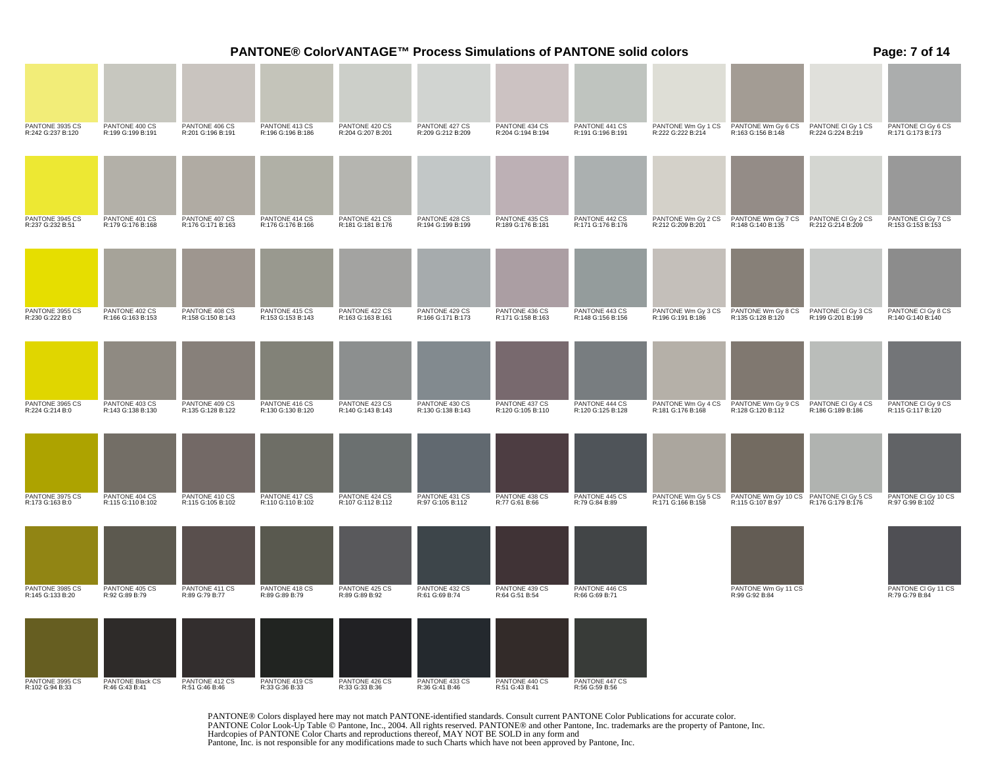| PANTONE 3935 CS<br>PANTONE 420 CS<br>PANTONE 434 CS<br>PANTONE 441 CS<br>PANTONE Wm Gy 6 CS<br>R:163 G:156 B:148<br>PANTONE 400 CS<br>PANTONE 406 CS<br>PANTONE 413 CS<br>PANTONE 427 CS<br>R:209 G:212 B:209<br>PANTONE Wm Gy 1 CS<br>R:242 G:237 B:120<br>R:199 G:199 B:191<br>R:201 G:196 B:191<br>R:204 G:194 B:194<br>R:191 G:196 B:191<br>R:222 G:222 B:214<br>R:196 G:196 B:186<br>R:204 G:207 B:201<br>PANTONE 3945 CS<br>PANTONE 401 CS<br>PANTONE 407 CS<br>PANTONE 414 CS<br>PANTONE 421 CS<br>PANTONE 428 CS<br>PANTONE 435 CS<br>PANTONE 442 CS<br>PANTONE Wm Gy 2 CS<br>PANTONE Wm Gy 7 CS<br>R:237 G:232 B:51<br>R:179 G:176 B:168<br>R:176 G:171 B:163<br>R:176 G:176 B:166<br>R:181 G:181 B:176<br>R:194 G:199 B:199<br>R:189 G:176 B:181<br>R:171 G:176 B:176<br>R:212 G:209 B:201<br>R:148 G:140 B:135<br>PANTONE 402 CS<br>PANTONE 408 CS<br>PANTONE 415 CS<br>PANTONE 429 CS<br>R:166 G:171 B:173<br>PANTONE 443 CS<br>PANTONE Wm Gy 3 CS<br>PANTONE 3955 CS<br>PANTONE 422 CS<br>PANTONE 436 CS<br>PANTONE Wm Gy 8 CS<br>R:230 G:222 B:0<br>R:166 G:163 B:153<br>R:158 G:150 B:143<br>R:153 G:153 B:143<br>R:163 G:163 B:161<br>R:171 G:158 B:163<br>R:148 G:156 B:156<br>R:196 G:191 B:186<br>R:135 G:128 B:120<br>PANTONE 3965 CS<br>PANTONE 403 CS<br>PANTONE 409 CS<br>PANTONE 416 CS<br>PANTONE 423 CS<br>PANTONE 430 CS<br>PANTONE 437 CS<br>PANTONE 444 CS<br>PANTONE Wm Gy 4 CS<br>PANTONE Wm Gy 9 CS<br>R:224 G:214 B:0<br>R:143 G:138 B:130<br>R:135 G:128 B:122<br>R:140 G:143 B:143<br>R:130 G:138 B:143<br>R:120 G:105 B:110<br>R:120 G:125 B:128<br>R:130 G:130 B:120<br>R:181 G:176 B:168<br>R:128 G:120 B:112 | Page: 7 of 14                                                                      |
|-----------------------------------------------------------------------------------------------------------------------------------------------------------------------------------------------------------------------------------------------------------------------------------------------------------------------------------------------------------------------------------------------------------------------------------------------------------------------------------------------------------------------------------------------------------------------------------------------------------------------------------------------------------------------------------------------------------------------------------------------------------------------------------------------------------------------------------------------------------------------------------------------------------------------------------------------------------------------------------------------------------------------------------------------------------------------------------------------------------------------------------------------------------------------------------------------------------------------------------------------------------------------------------------------------------------------------------------------------------------------------------------------------------------------------------------------------------------------------------------------------------------------------------------------------------------------------------------------------------------------------------------------------|------------------------------------------------------------------------------------|
|                                                                                                                                                                                                                                                                                                                                                                                                                                                                                                                                                                                                                                                                                                                                                                                                                                                                                                                                                                                                                                                                                                                                                                                                                                                                                                                                                                                                                                                                                                                                                                                                                                                     |                                                                                    |
|                                                                                                                                                                                                                                                                                                                                                                                                                                                                                                                                                                                                                                                                                                                                                                                                                                                                                                                                                                                                                                                                                                                                                                                                                                                                                                                                                                                                                                                                                                                                                                                                                                                     | PANTONE CI Gy 6 CS<br>R:171 G:173 B:173<br>PANTONE CI Gy 1 CS<br>R:224 G:224 B:219 |
|                                                                                                                                                                                                                                                                                                                                                                                                                                                                                                                                                                                                                                                                                                                                                                                                                                                                                                                                                                                                                                                                                                                                                                                                                                                                                                                                                                                                                                                                                                                                                                                                                                                     |                                                                                    |
|                                                                                                                                                                                                                                                                                                                                                                                                                                                                                                                                                                                                                                                                                                                                                                                                                                                                                                                                                                                                                                                                                                                                                                                                                                                                                                                                                                                                                                                                                                                                                                                                                                                     |                                                                                    |
|                                                                                                                                                                                                                                                                                                                                                                                                                                                                                                                                                                                                                                                                                                                                                                                                                                                                                                                                                                                                                                                                                                                                                                                                                                                                                                                                                                                                                                                                                                                                                                                                                                                     | PANTONE CI Gy 2 CS<br>PANTONE CI Gy 7 CS<br>R:212 G:214 B:209<br>R:153 G:153 B:153 |
|                                                                                                                                                                                                                                                                                                                                                                                                                                                                                                                                                                                                                                                                                                                                                                                                                                                                                                                                                                                                                                                                                                                                                                                                                                                                                                                                                                                                                                                                                                                                                                                                                                                     |                                                                                    |
|                                                                                                                                                                                                                                                                                                                                                                                                                                                                                                                                                                                                                                                                                                                                                                                                                                                                                                                                                                                                                                                                                                                                                                                                                                                                                                                                                                                                                                                                                                                                                                                                                                                     |                                                                                    |
|                                                                                                                                                                                                                                                                                                                                                                                                                                                                                                                                                                                                                                                                                                                                                                                                                                                                                                                                                                                                                                                                                                                                                                                                                                                                                                                                                                                                                                                                                                                                                                                                                                                     | PANTONE CI Gy 3 CS<br>PANTONE CI Gy 8 CS<br>R:140 G:140 B:140<br>R:199 G:201 B:199 |
|                                                                                                                                                                                                                                                                                                                                                                                                                                                                                                                                                                                                                                                                                                                                                                                                                                                                                                                                                                                                                                                                                                                                                                                                                                                                                                                                                                                                                                                                                                                                                                                                                                                     |                                                                                    |
|                                                                                                                                                                                                                                                                                                                                                                                                                                                                                                                                                                                                                                                                                                                                                                                                                                                                                                                                                                                                                                                                                                                                                                                                                                                                                                                                                                                                                                                                                                                                                                                                                                                     |                                                                                    |
|                                                                                                                                                                                                                                                                                                                                                                                                                                                                                                                                                                                                                                                                                                                                                                                                                                                                                                                                                                                                                                                                                                                                                                                                                                                                                                                                                                                                                                                                                                                                                                                                                                                     | PANTONE CI Gy 4 CS<br>PANTONE CI Gy 9 CS<br>R:115 G:117 B:120<br>R:186 G:189 B:186 |
|                                                                                                                                                                                                                                                                                                                                                                                                                                                                                                                                                                                                                                                                                                                                                                                                                                                                                                                                                                                                                                                                                                                                                                                                                                                                                                                                                                                                                                                                                                                                                                                                                                                     |                                                                                    |
| PANTONE 404 CS<br>PANTONE 410 CS<br>PANTONE 417 CS<br>PANTONE 424 CS<br>PANTONE 431 CS<br>R:97 G:105 B:112<br>PANTONE 438 CS<br>PANTONE 445 CS<br>R:79 G:84 B:89<br>PANTONE Wm Gy 5 CS<br>PANTONE Wm Gy 10 CS PANTONE CI Gy 5 CS<br>PANTONE 3975 CS<br>R:173 G:163 B:0<br>R:115 G:110 B:102<br>R:115 G:105 B:102<br>R:110 G:110 B:102<br>R:107 G:112 B:112<br>R:77 G:61 B:66<br>R:171 G:166 B:158<br>R:115 G:107 B:97                                                                                                                                                                                                                                                                                                                                                                                                                                                                                                                                                                                                                                                                                                                                                                                                                                                                                                                                                                                                                                                                                                                                                                                                                               | PANTONE CI Gy 10 CS<br>R:97 G:99 B:102<br>R:176 G:179 B:176                        |
|                                                                                                                                                                                                                                                                                                                                                                                                                                                                                                                                                                                                                                                                                                                                                                                                                                                                                                                                                                                                                                                                                                                                                                                                                                                                                                                                                                                                                                                                                                                                                                                                                                                     |                                                                                    |
| PANTONE 3985 CS<br>R:145 G:133 B:20<br>PANTONE 405 CS<br>R:92 G:89 B:79<br>PANTONE 411 CS<br>R:89 G:79 B:77<br>PANTONE 418 CS<br>R:89 G:89 B:79<br>PANTONE 425 CS<br>R:89 G:89 B:92<br>PANTONE 432 CS<br>R:61 G:69 B:74<br>PANTONE 439 CS<br>R:64 G:51 B:54<br>PANTONE 446 CS<br>R:66 G:69 B:71<br>PANTONE Wm Gy 11 CS<br>R:99 G:92 B:84                                                                                                                                                                                                                                                                                                                                                                                                                                                                                                                                                                                                                                                                                                                                                                                                                                                                                                                                                                                                                                                                                                                                                                                                                                                                                                            | PANTONE CI Gy 11 CS<br>R:79 G:79 B:84                                              |
| PANTONE 3995 CS<br>PANTONE Black CS<br>PANTONE 412 CS<br>PANTONE 419 CS<br>PANTONE 426 CS<br>PANTONE 433 CS<br>PANTONE 440 CS<br>PANTONE 447 CS<br>R:51 G:46 B:46<br>R:33 G:33 B:36<br>R:36 G:41 B:46<br>R:51 G:43 B:41<br>R:56 G:59 B:56<br>R:102 G:94 B:33<br>R:46 G:43 B:41<br>R:33 G:36 B:33                                                                                                                                                                                                                                                                                                                                                                                                                                                                                                                                                                                                                                                                                                                                                                                                                                                                                                                                                                                                                                                                                                                                                                                                                                                                                                                                                    |                                                                                    |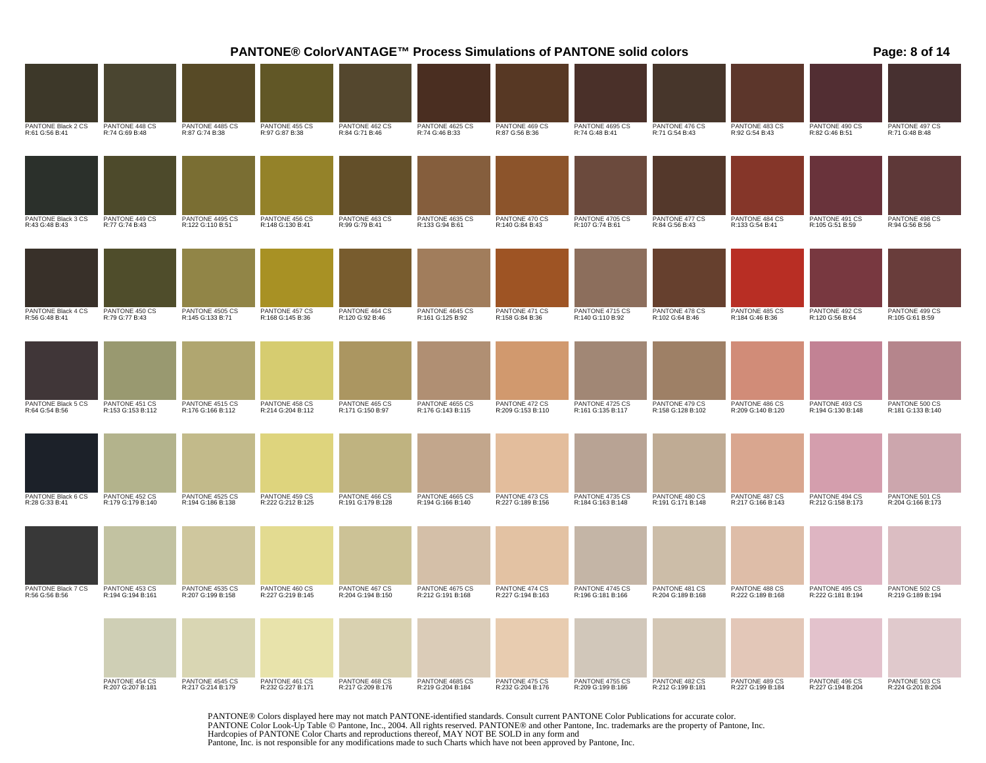|                                      |                                     |                                      |                                     |                                     |                                      | <b>PANTONE® ColorVANTAGE™ Process Simulations of PANTONE solid colors</b><br>Page: 8 of 14<br>PANTONE 469 CS<br>PANTONE 4695 CS<br>PANTONE 476 CS<br>PANTONE 483 CS<br>PANTONE 490 CS<br>R:87 G:56 B:36<br>R:74 G:48 B:41<br>R:71 G:54 B:43<br>R:92 G:54 B:43<br>R:82 G:46 B:51<br>PANTONE 484 CS<br>PANTONE 491 CS<br>PANTONE 470 CS<br>PANTONE 4705 CS<br>PANTONE 477 CS<br>R:140 G:84 B:43<br>R:107 G:74 B:61<br>R:84 G:56 B:43<br>R:133 G:54 B:41<br>R:105 G:51 B:59<br>PANTONE 471 CS<br>PANTONE 4715 CS<br>PANTONE 478 CS<br>PANTONE 485 CS<br>PANTONE 492 CS<br>R:158 G:84 B:36<br>R:184 G:46 B:36<br>R:140 G:110 B:92<br>R:102 G:64 B:46<br>R:120 G:56 B:64<br>PANTONE 4655 CS<br>PANTONE 472 CS<br>PANTONE 486 CS<br>PANTONE 493 CS<br>PANTONE 4725 CS<br>PANTONE 479 CS<br>R:209 G:153 B:110<br>R:158 G:128 B:102<br>R:209 G:140 B:120<br>R:194 G:130 B:148<br>R:161 G:135 B:117<br>PANTONE 473 CS<br>PANTONE 4735 CS<br>PANTONE 480 CS<br>PANTONE 487 CS<br>PANTONE 494 CS<br>R:227 G:189 B:156<br>R:184 G:163 B:148<br>R:191 G:171 B:148<br>R:217 G:166 B:143<br>R:212 G:158 B:173<br>PANTONE 474 CS<br>PANTONE 4745 CS<br>PANTONE 481 CS<br>PANTONE 488 CS<br>PANTONE 495 CS<br>R:227 G:194 B:163<br>R:196 G:181 B:166<br>R:204 G:189 B:168<br>R:222 G:189 B:168<br>R:222 G:181 B:194 |                                      |                                     |                                     |                                     |                                     |  |
|--------------------------------------|-------------------------------------|--------------------------------------|-------------------------------------|-------------------------------------|--------------------------------------|----------------------------------------------------------------------------------------------------------------------------------------------------------------------------------------------------------------------------------------------------------------------------------------------------------------------------------------------------------------------------------------------------------------------------------------------------------------------------------------------------------------------------------------------------------------------------------------------------------------------------------------------------------------------------------------------------------------------------------------------------------------------------------------------------------------------------------------------------------------------------------------------------------------------------------------------------------------------------------------------------------------------------------------------------------------------------------------------------------------------------------------------------------------------------------------------------------------------------------------------------------------------------------------------------|--------------------------------------|-------------------------------------|-------------------------------------|-------------------------------------|-------------------------------------|--|
|                                      |                                     |                                      |                                     |                                     |                                      |                                                                                                                                                                                                                                                                                                                                                                                                                                                                                                                                                                                                                                                                                                                                                                                                                                                                                                                                                                                                                                                                                                                                                                                                                                                                                                    |                                      |                                     |                                     |                                     |                                     |  |
| PANTONE Black 2 CS<br>R:61 G:56 B:41 | PANTONE 448 CS<br>R:74 G:69 B:48    | PANTONE 4485 CS<br>R:87 G:74 B:38    | PANTONE 455 CS<br>R:97 G:87 B:38    | PANTONE 462 CS<br>R:84 G:71 B:46    | PANTONE 4625 CS<br>R:74 G:46 B:33    |                                                                                                                                                                                                                                                                                                                                                                                                                                                                                                                                                                                                                                                                                                                                                                                                                                                                                                                                                                                                                                                                                                                                                                                                                                                                                                    |                                      |                                     |                                     |                                     | PANTONE 497 CS<br>R:71 G:48 B:48    |  |
|                                      |                                     |                                      |                                     |                                     |                                      |                                                                                                                                                                                                                                                                                                                                                                                                                                                                                                                                                                                                                                                                                                                                                                                                                                                                                                                                                                                                                                                                                                                                                                                                                                                                                                    |                                      |                                     |                                     |                                     |                                     |  |
| PANTONE Black 3 CS<br>R:43 G:48 B:43 | PANTONE 449 CS<br>R:77 G:74 B:43    | PANTONE 4495 CS<br>R:122 G:110 B:51  | PANTONE 456 CS<br>R:148 G:130 B:41  | PANTONE 463 CS<br>R:99 G:79 B:41    | PANTONE 4635 CS<br>R:133 G:94 B:61   |                                                                                                                                                                                                                                                                                                                                                                                                                                                                                                                                                                                                                                                                                                                                                                                                                                                                                                                                                                                                                                                                                                                                                                                                                                                                                                    |                                      |                                     |                                     |                                     | PANTONE 498 CS<br>R:94 G:56 B:56    |  |
|                                      |                                     |                                      |                                     |                                     |                                      |                                                                                                                                                                                                                                                                                                                                                                                                                                                                                                                                                                                                                                                                                                                                                                                                                                                                                                                                                                                                                                                                                                                                                                                                                                                                                                    |                                      |                                     |                                     |                                     |                                     |  |
| PANTONE Black 4 CS<br>R:56 G:48 B:41 | PANTONE 450 CS<br>R:79 G:77 B:43    | PANTONE 4505 CS<br>R:145 G:133 B:71  | PANTONE 457 CS<br>R:168 G:145 B:36  | PANTONE 464 CS<br>R:120 G:92 B:46   | PANTONE 4645 CS<br>R:161 G:125 B:92  |                                                                                                                                                                                                                                                                                                                                                                                                                                                                                                                                                                                                                                                                                                                                                                                                                                                                                                                                                                                                                                                                                                                                                                                                                                                                                                    |                                      |                                     |                                     |                                     | PANTONE 499 CS<br>R:105 G:61 B:59   |  |
|                                      |                                     |                                      |                                     |                                     |                                      |                                                                                                                                                                                                                                                                                                                                                                                                                                                                                                                                                                                                                                                                                                                                                                                                                                                                                                                                                                                                                                                                                                                                                                                                                                                                                                    |                                      |                                     |                                     |                                     |                                     |  |
| PANTONE Black 5 CS<br>R:64 G:54 B:56 | PANTONE 451 CS<br>R:153 G:153 B:112 | PANTONE 4515 CS<br>R:176 G:166 B:112 | PANTONE 458 CS<br>R:214 G:204 B:112 | PANTONE 465 CS<br>R:171 G:150 B:97  | R:176 G:143 B:115                    |                                                                                                                                                                                                                                                                                                                                                                                                                                                                                                                                                                                                                                                                                                                                                                                                                                                                                                                                                                                                                                                                                                                                                                                                                                                                                                    |                                      |                                     |                                     |                                     | PANTONE 500 CS<br>R:181 G:133 B:140 |  |
|                                      |                                     |                                      |                                     |                                     |                                      |                                                                                                                                                                                                                                                                                                                                                                                                                                                                                                                                                                                                                                                                                                                                                                                                                                                                                                                                                                                                                                                                                                                                                                                                                                                                                                    |                                      |                                     |                                     |                                     |                                     |  |
| PANTONE Black 6 CS<br>R:28 G:33 B:41 | PANTONE 452 CS<br>R:179 G:179 B:140 | PANTONE 4525 CS<br>R:194 G:186 B:138 | PANTONE 459 CS<br>R:222 G:212 B:125 | PANTONE 466 CS<br>R:191 G:179 B:128 | PANTONE 4665 CS<br>R:194 G:166 B:140 |                                                                                                                                                                                                                                                                                                                                                                                                                                                                                                                                                                                                                                                                                                                                                                                                                                                                                                                                                                                                                                                                                                                                                                                                                                                                                                    |                                      |                                     |                                     |                                     | PANTONE 501 CS<br>R:204 G:166 B:173 |  |
|                                      |                                     |                                      |                                     |                                     |                                      |                                                                                                                                                                                                                                                                                                                                                                                                                                                                                                                                                                                                                                                                                                                                                                                                                                                                                                                                                                                                                                                                                                                                                                                                                                                                                                    |                                      |                                     |                                     |                                     |                                     |  |
| PANTONE Black 7 CS<br>R:56 G:56 B:56 | PANTONE 453 CS<br>R:194 G:194 B:161 | PANTONE 4535 CS<br>R:207 G:199 B:158 | PANTONE 460 CS<br>R:227 G:219 B:145 | PANTONE 467 CS<br>R:204 G:194 B:150 | PANTONE 4675 CS<br>R:212 G:191 B:168 |                                                                                                                                                                                                                                                                                                                                                                                                                                                                                                                                                                                                                                                                                                                                                                                                                                                                                                                                                                                                                                                                                                                                                                                                                                                                                                    |                                      |                                     |                                     |                                     | PANTONE 502 CS<br>R:219 G:189 B:194 |  |
|                                      |                                     |                                      |                                     |                                     |                                      |                                                                                                                                                                                                                                                                                                                                                                                                                                                                                                                                                                                                                                                                                                                                                                                                                                                                                                                                                                                                                                                                                                                                                                                                                                                                                                    |                                      |                                     |                                     |                                     |                                     |  |
|                                      | PANTONE 454 CS<br>R:207 G:207 B:181 | PANTONE 4545 CS<br>R:217 G:214 B:179 | PANTONE 461 CS<br>R:232 G:227 B:171 | PANTONE 468 CS<br>R:217 G:209 B:176 | PANTONE 4685 CS<br>R:219 G:204 B:184 | PANTONE 475 CS<br>R:232 G:204 B:176                                                                                                                                                                                                                                                                                                                                                                                                                                                                                                                                                                                                                                                                                                                                                                                                                                                                                                                                                                                                                                                                                                                                                                                                                                                                | PANTONE 4755 CS<br>R:209 G:199 B:186 | PANTONE 482 CS<br>R:212 G:199 B:181 | PANTONE 489 CS<br>R:227 G:199 B:184 | PANTONE 496 CS<br>R:227 G:194 B:204 | PANTONE 503 CS<br>R:224 G:201 B:204 |  |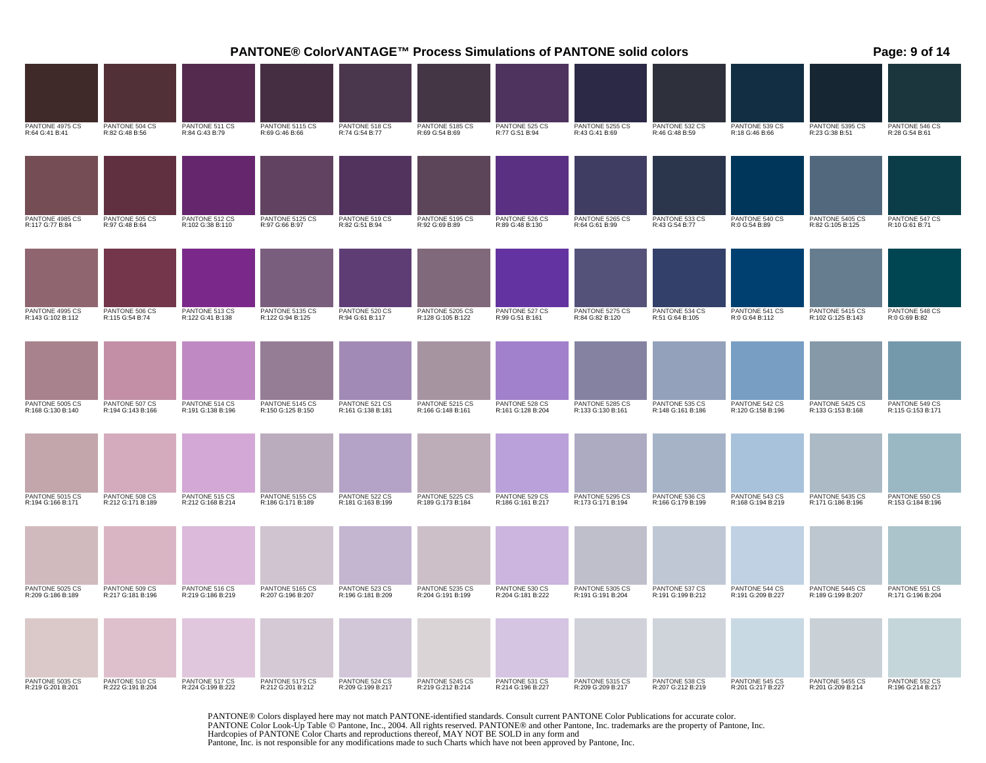|                                      |                                     |                                     | PANTONE® ColorVANTAGE™ Process Simulations of PANTONE solid colors |                                     |                                      |                                     |                                      |                                     |                                     |                                      | Page: 9 of 14                       |
|--------------------------------------|-------------------------------------|-------------------------------------|--------------------------------------------------------------------|-------------------------------------|--------------------------------------|-------------------------------------|--------------------------------------|-------------------------------------|-------------------------------------|--------------------------------------|-------------------------------------|
|                                      |                                     |                                     |                                                                    |                                     |                                      |                                     |                                      |                                     |                                     |                                      |                                     |
| PANTONE 4975 CS<br>R:64 G:41 B:41    | PANTONE 504 CS<br>R:82 G:48 B:56    | PANTONE 511 CS<br>R:84 G:43 B:79    | PANTONE 5115 CS<br>R:69 G:46 B:66                                  | PANTONE 518 CS<br>R:74 G:54 B:77    | PANTONE 5185 CS<br>R:69 G:54 B:69    | PANTONE 525 CS<br>R:77 G:51 B:94    | PANTONE 5255 CS<br>R:43 G:41 B:69    | PANTONE 532 CS<br>R:46 G:48 B:59    | PANTONE 539 CS<br>R:18 G:46 B:66    | PANTONE 5395 CS<br>R:23 G:38 B:51    | PANTONE 546 CS<br>R:28 G:54 B:61    |
|                                      |                                     |                                     |                                                                    |                                     |                                      |                                     |                                      |                                     |                                     |                                      |                                     |
| PANTONE 4985 CS<br>R:117 G:77 B:84   | PANTONE 505 CS<br>R:97 G:48 B:64    | PANTONE 512 CS<br>R:102 G:38 B:110  | PANTONE 5125 CS<br>R:97 G:66 B:97                                  | PANTONE 519 CS<br>R:82 G:51 B:94    | PANTONE 5195 CS<br>R:92 G:69 B:89    | PANTONE 526 CS<br>R:89 G:48 B:130   | PANTONE 5265 CS<br>R:64 G:61 B:99    | PANTONE 533 CS<br>R:43 G:54 B:77    | PANTONE 540 CS<br>R:0 G:54 B:89     | PANTONE 5405 CS<br>R:82 G:105 B:125  | PANTONE 547 CS<br>R:10 G:61 B:71    |
|                                      |                                     |                                     |                                                                    |                                     |                                      |                                     |                                      |                                     |                                     |                                      |                                     |
| PANTONE 4995 CS<br>R:143 G:102 B:112 | PANTONE 506 CS<br>R:115 G:54 B:74   | PANTONE 513 CS<br>R:122 G:41 B:138  | PANTONE 5135 CS<br>R:122 G:94 B:125                                | PANTONE 520 CS<br>R:94 G:61 B:117   | PANTONE 5205 CS<br>R:128 G:105 B:122 | PANTONE 527 CS<br>R:99 G:51 B:161   | PANTONE 5275 CS<br>R:84 G:82 B:120   | PANTONE 534 CS<br>R:51 G:64 B:105   | PANTONE 541 CS<br>R:0 G:64 B:112    | PANTONE 5415 CS<br>R:102 G:125 B:143 | PANTONE 548 CS<br>R:0 G:69 B:82     |
|                                      |                                     |                                     |                                                                    |                                     |                                      |                                     |                                      |                                     |                                     |                                      |                                     |
| PANTONE 5005 CS<br>R:168 G:130 B:140 | PANTONE 507 CS<br>R:194 G:143 B:166 | PANTONE 514 CS<br>R:191 G:138 B:196 | PANTONE 5145 CS<br>R:150 G:125 B:150                               | PANTONE 521 CS<br>R:161 G:138 B:181 | PANTONE 5215 CS<br>R:166 G:148 B:161 | PANTONE 528 CS<br>R:161 G:128 B:204 | PANTONE 5285 CS<br>R:133 G:130 B:161 | PANTONE 535 CS<br>R:148 G:161 B:186 | PANTONE 542 CS<br>R:120 G:158 B:196 | PANTONE 5425 CS<br>R:133 G:153 B:168 | PANTONE 549 CS<br>R:115 G:153 B:171 |
|                                      |                                     |                                     |                                                                    |                                     |                                      |                                     |                                      |                                     |                                     |                                      |                                     |
| PANTONE 5015 CS<br>R:194 G:166 B:171 | PANTONE 508 CS<br>R:212 G:171 B:189 | PANTONE 515 CS<br>R:212 G:168 B:214 | PANTONE 5155 CS<br>R:186 G:171 B:189                               | PANTONE 522 CS<br>R:181 G:163 B:199 | PANTONE 5225 CS<br>R:189 G:173 B:184 | PANTONE 529 CS<br>R:186 G:161 B:217 | PANTONE 5295 CS<br>R:173 G:171 B:194 | PANTONE 536 CS<br>R:166 G:179 B:199 | PANTONE 543 CS<br>R:168 G:194 B:219 | PANTONE 5435 CS<br>R:171 G:186 B:196 | PANTONE 550 CS<br>R:153 G:184 B:196 |
|                                      |                                     |                                     |                                                                    |                                     |                                      |                                     |                                      |                                     |                                     |                                      |                                     |
| PANTONE 5025 CS<br>R:209 G:186 B:189 | PANTONE 509 CS<br>R:217 G:181 B:196 | PANTONE 516 CS<br>R:219 G:186 B:219 | PANTONE 5165 CS<br>R:207 G:196 B:207                               | PANTONE 523 CS<br>R:196 G:181 B:209 | PANTONE 5235 CS<br>R:204 G:191 B:199 | PANTONE 530 CS<br>R:204 G:181 B:222 | PANTONE 5305 CS<br>R:191 G:191 B:204 | PANTONE 537 CS<br>R:191 G:199 B:212 | PANTONE 544 CS<br>R:191 G:209 B:227 | PANTONE 5445 CS<br>R:189 G:199 B:207 | PANTONE 551 CS<br>R:171 G:196 B:204 |
|                                      |                                     |                                     |                                                                    |                                     |                                      |                                     |                                      |                                     |                                     |                                      |                                     |
| PANTONE 5035 CS<br>R:219 G:201 B:201 | PANTONE 510 CS<br>R:222 G:191 B:204 | PANTONE 517 CS<br>R:224 G:199 B:222 | PANTONE 5175 CS<br>R:212 G:201 B:212                               | PANTONE 524 CS<br>R:209 G:199 B:217 | PANTONE 5245 CS<br>R:219 G:212 B:214 | PANTONE 531 CS<br>R:214 G:196 B:227 | PANTONE 5315 CS<br>R:209 G:209 B:217 | PANTONE 538 CS<br>R:207 G:212 B:219 | PANTONE 545 CS<br>R:201 G:217 B:227 | PANTONE 5455 CS<br>R:201 G:209 B:214 | PANTONE 552 CS<br>R:196 G:214 B:217 |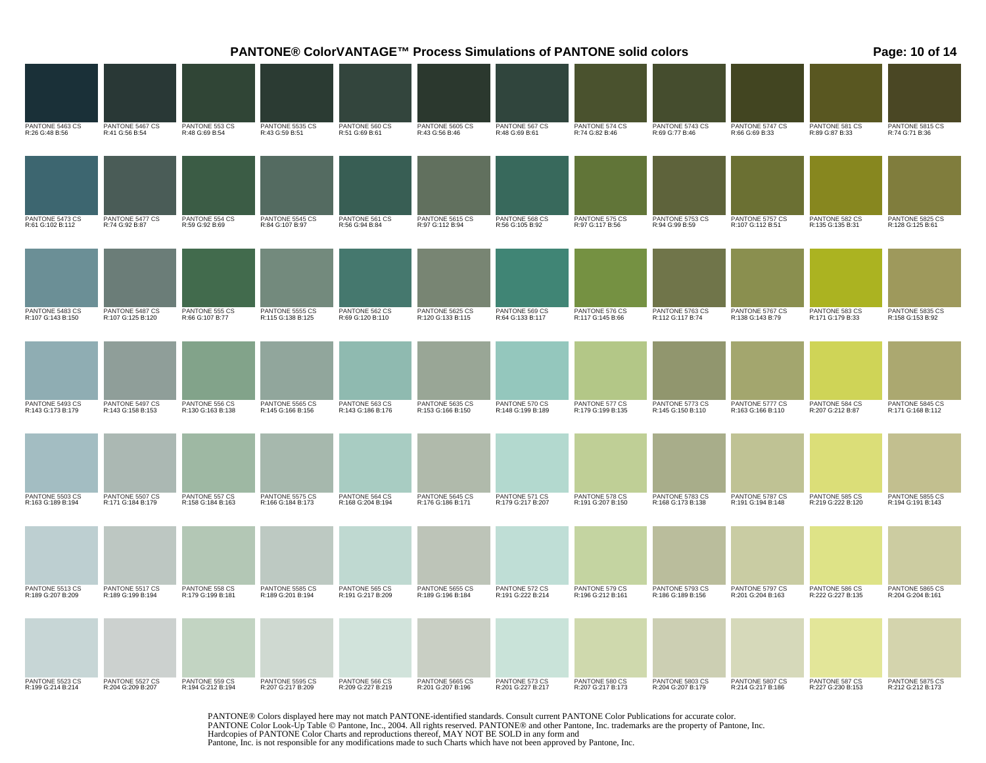|                                      |                                      |                                     |                                      |                                     |                                      | PANTONE® ColorVANTAGE™ Process Simulations of PANTONE solid colors<br>Page: 10 of 14<br>PANTONE 5605 CS<br>R:43 G:56 B:46<br>PANTONE 567 CS<br>R:48 G:69 B:61<br>PANTONE 574 CS<br>R:74 G:82 B:46<br>PANTONE 5743 CS<br>R:69 G:77 B:46<br>PANTONE 5747 CS<br>R:66 G:69 B:33<br>PANTONE 581 CS<br>R:89 G:87 B:33<br>PANTONE 568 CS<br>PANTONE 575 CS<br>PANTONE 5753 CS<br>PANTONE 5757 CS<br>PANTONE 582 CS<br>R:56 G:105 B:92<br>R:97 G:117 B:56<br>R:94 G:99 B:59<br>R:107 G:112 B:51<br>R:135 G:135 B:31<br>PANTONE 569 CS<br>PANTONE 576 CS<br>PANTONE 5763 CS<br>PANTONE 5767 CS<br>PANTONE 583 CS<br>R:64 G:133 B:117<br>R:117 G:145 B:66<br>R:112 G:117 B:74<br>R:138 G:143 B:79<br>R:171 G:179 B:33<br>PANTONE 584 CS<br>PANTONE 570 CS<br>PANTONE 577 CS<br>PANTONE 5773 CS<br>PANTONE 5777 CS<br>R:148 G:199 B:189<br>R:179 G:199 B:135<br>R:145 G:150 B:110<br>R:163 G:166 B:110<br>R:207 G:212 B:87<br>PANTONE 571 CS<br>PANTONE 578 CS<br>PANTONE 5783 CS<br>PANTONE 5787 CS<br>PANTONE 585 CS<br>R:179 G:217 B:207<br>R:191 G:207 B:150<br>R:168 G:173 B:138<br>R:191 G:194 B:148<br>R:219 G:222 B:120 |                                     |                                      |                                      |                                     |                                      |  |  |  |
|--------------------------------------|--------------------------------------|-------------------------------------|--------------------------------------|-------------------------------------|--------------------------------------|----------------------------------------------------------------------------------------------------------------------------------------------------------------------------------------------------------------------------------------------------------------------------------------------------------------------------------------------------------------------------------------------------------------------------------------------------------------------------------------------------------------------------------------------------------------------------------------------------------------------------------------------------------------------------------------------------------------------------------------------------------------------------------------------------------------------------------------------------------------------------------------------------------------------------------------------------------------------------------------------------------------------------------------------------------------------------------------------------------------------|-------------------------------------|--------------------------------------|--------------------------------------|-------------------------------------|--------------------------------------|--|--|--|
|                                      |                                      |                                     |                                      |                                     |                                      |                                                                                                                                                                                                                                                                                                                                                                                                                                                                                                                                                                                                                                                                                                                                                                                                                                                                                                                                                                                                                                                                                                                      |                                     |                                      |                                      |                                     |                                      |  |  |  |
| PANTONE 5463 CS<br>R:26 G:48 B:56    | PANTONE 5467 CS<br>R:41 G:56 B:54    | PANTONE 553 CS<br>R:48 G:69 B:54    | PANTONE 5535 CS<br>R:43 G:59 B:51    | PANTONE 560 CS<br>R:51 G:69 B:61    |                                      |                                                                                                                                                                                                                                                                                                                                                                                                                                                                                                                                                                                                                                                                                                                                                                                                                                                                                                                                                                                                                                                                                                                      |                                     |                                      |                                      |                                     | PANTONE 5815 CS<br>R:74 G:71 B:36    |  |  |  |
|                                      |                                      |                                     |                                      |                                     |                                      |                                                                                                                                                                                                                                                                                                                                                                                                                                                                                                                                                                                                                                                                                                                                                                                                                                                                                                                                                                                                                                                                                                                      |                                     |                                      |                                      |                                     |                                      |  |  |  |
| PANTONE 5473 CS<br>R:61 G:102 B:112  | PANTONE 5477 CS<br>R:74 G:92 B:87    | PANTONE 554 CS<br>R:59 G:92 B:69    | PANTONE 5545 CS<br>R:84 G:107 B:97   | PANTONE 561 CS<br>R:56 G:94 B:84    | PANTONE 5615 CS<br>R:97 G:112 B:94   |                                                                                                                                                                                                                                                                                                                                                                                                                                                                                                                                                                                                                                                                                                                                                                                                                                                                                                                                                                                                                                                                                                                      |                                     |                                      |                                      |                                     | PANTONE 5825 CS<br>R:128 G:125 B:61  |  |  |  |
|                                      |                                      |                                     |                                      |                                     |                                      |                                                                                                                                                                                                                                                                                                                                                                                                                                                                                                                                                                                                                                                                                                                                                                                                                                                                                                                                                                                                                                                                                                                      |                                     |                                      |                                      |                                     |                                      |  |  |  |
| PANTONE 5483 CS<br>R:107 G:143 B:150 | PANTONE 5487 CS<br>R:107 G:125 B:120 | PANTONE 555 CS<br>R:66 G:107 B:77   | PANTONE 5555 CS<br>R:115 G:138 B:125 | PANTONE 562 CS<br>R:69 G:120 B:110  | PANTONE 5625 CS<br>R:120 G:133 B:115 |                                                                                                                                                                                                                                                                                                                                                                                                                                                                                                                                                                                                                                                                                                                                                                                                                                                                                                                                                                                                                                                                                                                      |                                     |                                      |                                      |                                     | PANTONE 5835 CS<br>R:158 G:153 B:92  |  |  |  |
|                                      |                                      |                                     |                                      |                                     |                                      |                                                                                                                                                                                                                                                                                                                                                                                                                                                                                                                                                                                                                                                                                                                                                                                                                                                                                                                                                                                                                                                                                                                      |                                     |                                      |                                      |                                     |                                      |  |  |  |
| PANTONE 5493 CS<br>R:143 G:173 B:179 | PANTONE 5497 CS<br>R:143 G:158 B:153 | PANTONE 556 CS<br>R:130 G:163 B:138 | PANTONE 5565 CS<br>R:145 G:166 B:156 | PANTONE 563 CS<br>R:143 G:186 B:176 | PANTONE 5635 CS<br>R:153 G:166 B:150 |                                                                                                                                                                                                                                                                                                                                                                                                                                                                                                                                                                                                                                                                                                                                                                                                                                                                                                                                                                                                                                                                                                                      |                                     |                                      |                                      |                                     | PANTONE 5845 CS<br>R:171 G:168 B:112 |  |  |  |
|                                      |                                      |                                     |                                      |                                     |                                      |                                                                                                                                                                                                                                                                                                                                                                                                                                                                                                                                                                                                                                                                                                                                                                                                                                                                                                                                                                                                                                                                                                                      |                                     |                                      |                                      |                                     |                                      |  |  |  |
| PANTONE 5503 CS<br>R:163 G:189 B:194 | PANTONE 5507 CS<br>R:171 G:184 B:179 | PANTONE 557 CS<br>R:158 G:184 B:163 | PANTONE 5575 CS<br>R:166 G:184 B:173 | PANTONE 564 CS<br>R:168 G:204 B:194 | PANTONE 5645 CS<br>R:176 G:186 B:171 |                                                                                                                                                                                                                                                                                                                                                                                                                                                                                                                                                                                                                                                                                                                                                                                                                                                                                                                                                                                                                                                                                                                      |                                     |                                      |                                      |                                     | PANTONE 5855 CS<br>R:194 G:191 B:143 |  |  |  |
|                                      |                                      |                                     |                                      |                                     |                                      |                                                                                                                                                                                                                                                                                                                                                                                                                                                                                                                                                                                                                                                                                                                                                                                                                                                                                                                                                                                                                                                                                                                      |                                     |                                      |                                      |                                     |                                      |  |  |  |
| PANTONE 5513 CS<br>R:189 G:207 B:209 | PANTONE 5517 CS<br>R:189 G:199 B:194 | PANTONE 558 CS<br>R:179 G:199 B:181 | PANTONE 5585 CS<br>R:189 G:201 B:194 | PANTONE 565 CS<br>R:191 G:217 B:209 | PANTONE 5655 CS<br>R:189 G:196 B:184 | PANTONE 572 CS<br>R:191 G:222 B:214                                                                                                                                                                                                                                                                                                                                                                                                                                                                                                                                                                                                                                                                                                                                                                                                                                                                                                                                                                                                                                                                                  | PANTONE 579 CS<br>R:196 G:212 B:161 | PANTONE 5793 CS<br>R:186 G:189 B:156 | PANTONE 5797 CS<br>R:201 G:204 B:163 | PANTONE 586 CS<br>R:222 G:227 B:135 | PANTONE 5865 CS<br>R:204 G:204 B:161 |  |  |  |
| PANTONE 5523 CS                      | PANTONE 5527 CS                      | PANTONE 559 CS                      | PANTONE 5595 CS                      | PANTONE 566 CS                      | PANTONE 5665 CS                      | PANTONE 573 CS                                                                                                                                                                                                                                                                                                                                                                                                                                                                                                                                                                                                                                                                                                                                                                                                                                                                                                                                                                                                                                                                                                       | PANTONE 580 CS                      | PANTONE 5803 CS                      | PANTONE 5807 CS                      | PANTONE 587 CS                      | PANTONE 5875 CS                      |  |  |  |
| R:199 G:214 B:214                    | R:204 G:209 B:207                    | R:194 G:212 B:194                   | R:207 G:217 B:209                    | R:209 G:227 B:219                   | R:201 G:207 B:196                    | R:201 G:227 B:217                                                                                                                                                                                                                                                                                                                                                                                                                                                                                                                                                                                                                                                                                                                                                                                                                                                                                                                                                                                                                                                                                                    | R:207 G:217 B:173                   | R:204 G:207 B:179                    | R:214 G:217 B:186                    | R:227 G:230 B:153                   | R:212 G:212 B:173                    |  |  |  |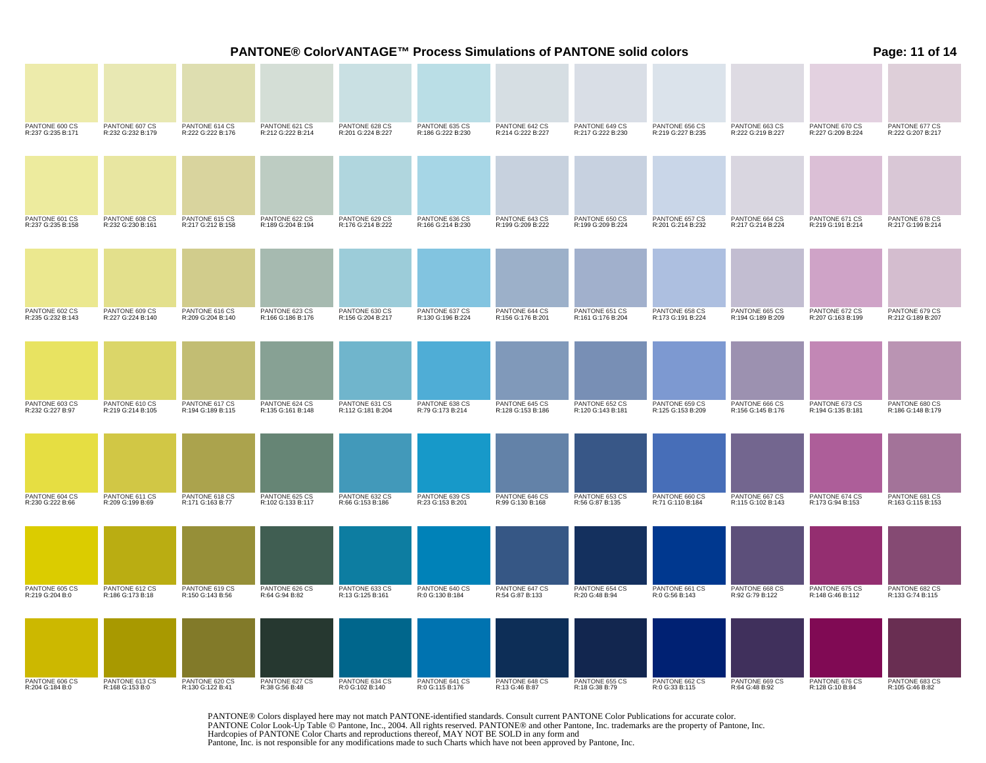|                                     |                                     |                                     | <b>PANTONE® ColorVANTAGE™ Process Simulations of PANTONE solid colors</b> |                                     |                                     |                                     |                                     |                                     |                                     |                                     | Page: 11 of 14                      |
|-------------------------------------|-------------------------------------|-------------------------------------|---------------------------------------------------------------------------|-------------------------------------|-------------------------------------|-------------------------------------|-------------------------------------|-------------------------------------|-------------------------------------|-------------------------------------|-------------------------------------|
|                                     |                                     |                                     |                                                                           |                                     |                                     |                                     |                                     |                                     |                                     |                                     |                                     |
| PANTONE 600 CS<br>R:237 G:235 B:171 | PANTONE 607 CS<br>R:232 G:232 B:179 | PANTONE 614 CS<br>R:222 G:222 B:176 | PANTONE 621 CS<br>R:212 G:222 B:214                                       | PANTONE 628 CS<br>R:201 G:224 B:227 | PANTONE 635 CS<br>R:186 G:222 B:230 | PANTONE 642 CS<br>R:214 G:222 B:227 | PANTONE 649 CS<br>R:217 G:222 B:230 | PANTONE 656 CS<br>R:219 G:227 B:235 | PANTONE 663 CS<br>R:222 G:219 B:227 | PANTONE 670 CS<br>R:227 G:209 B:224 | PANTONE 677 CS<br>R:222 G:207 B:217 |
|                                     |                                     |                                     |                                                                           |                                     |                                     |                                     |                                     |                                     |                                     |                                     |                                     |
| PANTONE 601 CS<br>R:237 G:235 B:158 | PANTONE 608 CS<br>R:232 G:230 B:161 | PANTONE 615 CS<br>R:217 G:212 B:158 | PANTONE 622 CS<br>R:189 G:204 B:194                                       | PANTONE 629 CS<br>R:176 G:214 B:222 | PANTONE 636 CS<br>R:166 G:214 B:230 | PANTONE 643 CS<br>R:199 G:209 B:222 | PANTONE 650 CS<br>R:199 G:209 B:224 | PANTONE 657 CS<br>R:201 G:214 B:232 | PANTONE 664 CS<br>R:217 G:214 B:224 | PANTONE 671 CS<br>R:219 G:191 B:214 | PANTONE 678 CS<br>R:217 G:199 B:214 |
|                                     |                                     | PANTONE 616 CS                      |                                                                           | PANTONE 630 CS                      |                                     |                                     |                                     |                                     |                                     |                                     | PANTONE 679 CS                      |
| PANTONE 602 CS<br>R:235 G:232 B:143 | PANTONE 609 CS<br>R:227 G:224 B:140 | R:209 G:204 B:140                   | PANTONE 623 CS<br>R:166 G:186 B:176                                       | R:156 G:204 B:217                   | PANTONE 637 CS<br>R:130 G:196 B:224 | PANTONE 644 CS<br>R:156 G:176 B:201 | PANTONE 651 CS<br>R:161 G:176 B:204 | PANTONE 658 CS<br>R:173 G:191 B:224 | PANTONE 665 CS<br>R:194 G:189 B:209 | PANTONE 672 CS<br>R:207 G:163 B:199 | R:212 G:189 B:207                   |
| PANTONE 603 CS                      | PANTONE 610 CS                      | PANTONE 617 CS                      | PANTONE 624 CS                                                            | PANTONE 631 CS                      | PANTONE 638 CS                      | PANTONE 645 CS                      | PANTONE 652 CS                      | PANTONE 659 CS                      | PANTONE 666 CS                      | PANTONE 673 CS                      | PANTONE 680 CS                      |
| R:232 G:227 B:97                    | R:219 G:214 B:105                   | R:194 G:189 B:115                   | R:135 G:161 B:148                                                         | R:112 G:181 B:204                   | R:79 G:173 B:214                    | R:128 G:153 B:186                   | R:120 G:143 B:181                   | R:125 G:153 B:209                   | R:156 G:145 B:176                   | R:194 G:135 B:181                   | R:186 G:148 B:179                   |
|                                     |                                     |                                     |                                                                           |                                     |                                     |                                     |                                     |                                     |                                     |                                     |                                     |
| PANTONE 604 CS<br>R:230 G:222 B:66  | PANTONE 611 CS<br>R:209 G:199 B:69  | PANTONE 618 CS<br>R:171 G:163 B:77  | PANTONE 625 CS<br>R:102 G:133 B:117                                       | PANTONE 632 CS<br>R:66 G:153 B:186  | PANTONE 639 CS<br>R:23 G:153 B:201  | PANTONE 646 CS<br>R:99 G:130 B:168  | PANTONE 653 CS<br>R:56 G:87 B:135   | PANTONE 660 CS<br>R:71 G:110 B:184  | PANTONE 667 CS<br>R:115 G:102 B:143 | PANTONE 674 CS<br>R:173 G:94 B:153  | PANTONE 681 CS<br>R:163 G:115 B:153 |
|                                     |                                     |                                     |                                                                           |                                     |                                     |                                     |                                     |                                     |                                     |                                     |                                     |
| PANTONE 605 CS<br>R:219 G:204 B:0   | PANTONE 612 CS<br>R:186 G:173 B:18  | PANTONE 619 CS<br>R:150 G:143 B:56  | PANTONE 626 CS<br>R:64 G:94 B:82                                          | PANTONE 633 CS<br>R:13 G:125 B:161  | PANTONE 640 CS<br>R:0 G:130 B:184   | PANTONE 647 CS<br>R:54 G:87 B:133   | PANTONE 654 CS<br>R:20 G:48 B:94    | PANTONE 661 CS<br>R:0 G:56 B:143    | PANTONE 668 CS<br>R:92 G:79 B:122   | PANTONE 675 CS<br>R:148 G:46 B:112  | PANTONE 682 CS<br>R:133 G:74 B:115  |
| PANTONE 606 CS<br>R:204 G:184 B:0   | PANTONE 613 CS<br>R:168 G:153 B:0   | PANTONE 620 CS<br>R:130 G:122 B:41  | PANTONE 627 CS<br>R:38 G:56 B:48                                          | PANTONE 634 CS<br>R:0 G:102 B:140   | PANTONE 641 CS<br>R:0 G:115 B:176   | PANTONE 648 CS<br>R:13 G:46 B:87    | PANTONE 655 CS<br>R:18 G:38 B:79    | PANTONE 662 CS<br>R:0 G:33 B:115    | PANTONE 669 CS<br>R:64 G:48 B:92    | PANTONE 676 CS<br>R:128 G:10 B:84   | PANTONE 683 CS<br>R:105 G:46 B:82   |
|                                     |                                     |                                     |                                                                           |                                     |                                     |                                     |                                     |                                     |                                     |                                     |                                     |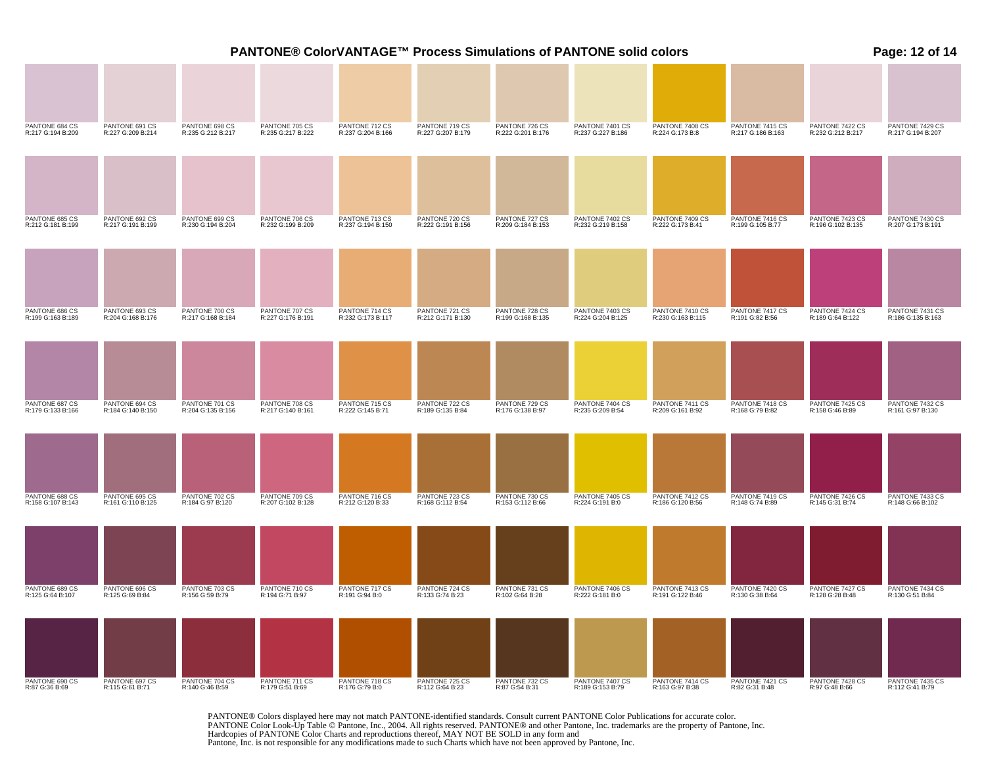|                                     |                                     |                                     |                                     |                                     |                                     |                                     | PANTONE® ColorVANTAGE™ Process Simulations of PANTONE solid colors<br>Page: 12 of 14<br>PANTONE 7401 CS<br>PANTONE 7408 CS<br>R:224 G:173 B:8<br>PANTONE 7415 CS<br>PANTONE 7422 CS<br>R:217 G:186 B:163<br>R:237 G:227 B:186<br>R:232 G:212 B:217<br>PANTONE 7402 CS<br>PANTONE 7409 CS<br>PANTONE 7416 CS<br>PANTONE 7423 CS<br>R:232 G:219 B:158<br>R:222 G:173 B:41<br>R:199 G:105 B:77<br>R:196 G:102 B:135<br>PANTONE 728 CS<br>PANTONE 7403 CS<br>PANTONE 7410 CS<br>PANTONE 7417 CS<br>PANTONE 7424 CS<br>R:189 G:64 B:122<br>R:191 G:82 B:56<br>R:224 G:204 B:125<br>R:230 G:163 B:115<br>PANTONE 7404 CS<br>PANTONE 729 CS<br>PANTONE 7411 CS<br>PANTONE 7418 CS<br>PANTONE 7425 CS<br>R:235 G:209 B:54<br>R:209 G:161 B:92<br>R:168 G:79 B:82<br>R:158 G:46 B:89<br>PANTONE 7405 CS<br>PANTONE 7412 CS<br>PANTONE 7419 CS<br>PANTONE 7426 CS<br>R:224 G:191 B:0<br>R:186 G:120 B:56<br>R:148 G:74 B:89<br>R:145 G:31 B:74<br>PANTONE 7406 CS<br>PANTONE 7413 CS<br>PANTONE 7420 CS<br>PANTONE 7427 CS<br>R:222 G:181 B:0<br>R:191 G:122 B:46<br>R:130 G:38 B:64<br>R:128 G:28 B:48<br>PANTONE 732 CS<br>R:87 G:54 B:31<br>PANTONE 7407 CS<br>PANTONE 7414 CS<br>PANTONE 7421 CS<br>R:82 G:31 B:48<br>PANTONE 7428 CS<br>R:97 G:48 B:66<br>R:189 G:153 B:79<br>R:163 G:97 B:38 |  |  |  |                                      |
|-------------------------------------|-------------------------------------|-------------------------------------|-------------------------------------|-------------------------------------|-------------------------------------|-------------------------------------|------------------------------------------------------------------------------------------------------------------------------------------------------------------------------------------------------------------------------------------------------------------------------------------------------------------------------------------------------------------------------------------------------------------------------------------------------------------------------------------------------------------------------------------------------------------------------------------------------------------------------------------------------------------------------------------------------------------------------------------------------------------------------------------------------------------------------------------------------------------------------------------------------------------------------------------------------------------------------------------------------------------------------------------------------------------------------------------------------------------------------------------------------------------------------------------------------------------------------------------------------------------------------------------|--|--|--|--------------------------------------|
|                                     |                                     |                                     |                                     |                                     |                                     |                                     |                                                                                                                                                                                                                                                                                                                                                                                                                                                                                                                                                                                                                                                                                                                                                                                                                                                                                                                                                                                                                                                                                                                                                                                                                                                                                          |  |  |  |                                      |
| PANTONE 684 CS<br>R:217 G:194 B:209 | PANTONE 691 CS<br>R:227 G:209 B:214 | PANTONE 698 CS<br>R:235 G:212 B:217 | PANTONE 705 CS<br>R:235 G:217 B:222 | PANTONE 712 CS<br>R:237 G:204 B:166 | PANTONE 719 CS<br>R:227 G:207 B:179 | PANTONE 726 CS<br>R:222 G:201 B:176 |                                                                                                                                                                                                                                                                                                                                                                                                                                                                                                                                                                                                                                                                                                                                                                                                                                                                                                                                                                                                                                                                                                                                                                                                                                                                                          |  |  |  | PANTONE 7429 CS<br>R:217 G:194 B:207 |
|                                     |                                     |                                     |                                     |                                     |                                     |                                     |                                                                                                                                                                                                                                                                                                                                                                                                                                                                                                                                                                                                                                                                                                                                                                                                                                                                                                                                                                                                                                                                                                                                                                                                                                                                                          |  |  |  |                                      |
| PANTONE 685 CS<br>R:212 G:181 B:199 | PANTONE 692 CS<br>R:217 G:191 B:199 | PANTONE 699 CS<br>R:230 G:194 B:204 | PANTONE 706 CS<br>R:232 G:199 B:209 | PANTONE 713 CS<br>R:237 G:194 B:150 | PANTONE 720 CS<br>R:222 G:191 B:156 | PANTONE 727 CS<br>R:209 G:184 B:153 |                                                                                                                                                                                                                                                                                                                                                                                                                                                                                                                                                                                                                                                                                                                                                                                                                                                                                                                                                                                                                                                                                                                                                                                                                                                                                          |  |  |  | PANTONE 7430 CS<br>R:207 G:173 B:191 |
|                                     |                                     |                                     |                                     |                                     |                                     |                                     |                                                                                                                                                                                                                                                                                                                                                                                                                                                                                                                                                                                                                                                                                                                                                                                                                                                                                                                                                                                                                                                                                                                                                                                                                                                                                          |  |  |  |                                      |
| PANTONE 686 CS<br>R:199 G:163 B:189 | PANTONE 693 CS<br>R:204 G:168 B:176 | PANTONE 700 CS<br>R:217 G:168 B:184 | PANTONE 707 CS<br>R:227 G:176 B:191 | PANTONE 714 CS<br>R:232 G:173 B:117 | PANTONE 721 CS<br>R:212 G:171 B:130 | R:199 G:168 B:135                   |                                                                                                                                                                                                                                                                                                                                                                                                                                                                                                                                                                                                                                                                                                                                                                                                                                                                                                                                                                                                                                                                                                                                                                                                                                                                                          |  |  |  | PANTONE 7431 CS<br>R:186 G:135 B:163 |
|                                     |                                     |                                     |                                     |                                     |                                     |                                     |                                                                                                                                                                                                                                                                                                                                                                                                                                                                                                                                                                                                                                                                                                                                                                                                                                                                                                                                                                                                                                                                                                                                                                                                                                                                                          |  |  |  |                                      |
| PANTONE 687 CS<br>R:179 G:133 B:166 | PANTONE 694 CS<br>R:184 G:140 B:150 | PANTONE 701 CS<br>R:204 G:135 B:156 | PANTONE 708 CS<br>R:217 G:140 B:161 | PANTONE 715 CS<br>R:222 G:145 B:71  | PANTONE 722 CS<br>R:189 G:135 B:84  | R:176 G:138 B:97                    |                                                                                                                                                                                                                                                                                                                                                                                                                                                                                                                                                                                                                                                                                                                                                                                                                                                                                                                                                                                                                                                                                                                                                                                                                                                                                          |  |  |  | PANTONE 7432 CS<br>R:161 G:97 B:130  |
|                                     |                                     |                                     |                                     |                                     |                                     |                                     |                                                                                                                                                                                                                                                                                                                                                                                                                                                                                                                                                                                                                                                                                                                                                                                                                                                                                                                                                                                                                                                                                                                                                                                                                                                                                          |  |  |  |                                      |
| PANTONE 688 CS<br>R:158 G:107 B:143 | PANTONE 695 CS<br>R:161 G:110 B:125 | PANTONE 702 CS<br>R:184 G:97 B:120  | PANTONE 709 CS<br>R:207 G:102 B:128 | PANTONE 716 CS<br>R:212 G:120 B:33  | PANTONE 723 CS<br>R:168 G:112 B:54  | PANTONE 730 CS<br>R:153 G:112 B:66  |                                                                                                                                                                                                                                                                                                                                                                                                                                                                                                                                                                                                                                                                                                                                                                                                                                                                                                                                                                                                                                                                                                                                                                                                                                                                                          |  |  |  | PANTONE 7433 CS<br>R:148 G:66 B:102  |
|                                     |                                     |                                     |                                     |                                     |                                     |                                     |                                                                                                                                                                                                                                                                                                                                                                                                                                                                                                                                                                                                                                                                                                                                                                                                                                                                                                                                                                                                                                                                                                                                                                                                                                                                                          |  |  |  |                                      |
| PANTONE 689 CS<br>R:125 G:64 B:107  | PANTONE 696 CS<br>R:125 G:69 B:84   | PANTONE 703 CS<br>R:156 G:59 B:79   | PANTONE 710 CS<br>R:194 G:71 B:97   | PANTONE 717 CS<br>R:191 G:94 B:0    | PANTONE 724 CS<br>R:133 G:74 B:23   | PANTONE 731 CS<br>R:102 G:64 B:28   |                                                                                                                                                                                                                                                                                                                                                                                                                                                                                                                                                                                                                                                                                                                                                                                                                                                                                                                                                                                                                                                                                                                                                                                                                                                                                          |  |  |  | PANTONE 7434 CS<br>R:130 G:51 B:84   |
|                                     |                                     |                                     |                                     |                                     |                                     |                                     |                                                                                                                                                                                                                                                                                                                                                                                                                                                                                                                                                                                                                                                                                                                                                                                                                                                                                                                                                                                                                                                                                                                                                                                                                                                                                          |  |  |  |                                      |
| PANTONE 690 CS<br>R:87 G:36 B:69    | PANTONE 697 CS<br>R:115 G:61 B:71   | PANTONE 704 CS<br>R:140 G:46 B:59   | PANTONE 711 CS<br>R:179 G:51 B:69   | PANTONE 718 CS<br>R:176 G:79 B:0    | PANTONE 725 CS<br>R:112 G:64 B:23   |                                     |                                                                                                                                                                                                                                                                                                                                                                                                                                                                                                                                                                                                                                                                                                                                                                                                                                                                                                                                                                                                                                                                                                                                                                                                                                                                                          |  |  |  | PANTONE 7435 CS<br>R:112 G:41 B:79   |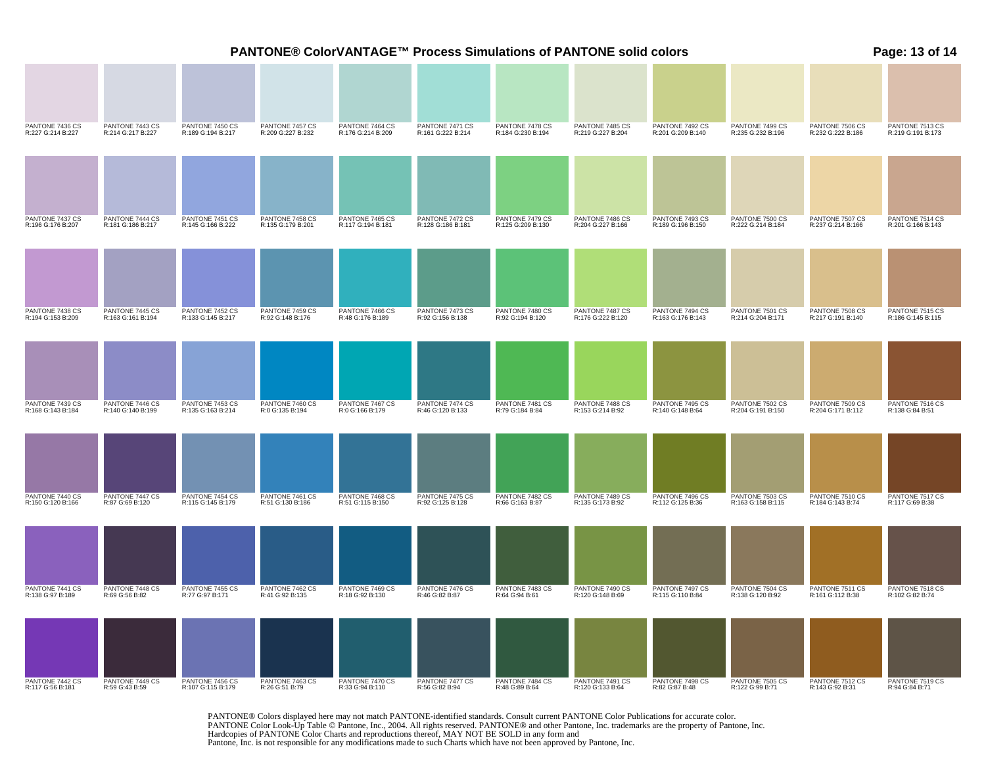| PANTONE® ColorVANTAGE™ Process Simulations of PANTONE solid colors |                                      |                                      |                                      |                                      |                                      |                                      |                                      |                                      |                                      |                                      | Page: 13 of 14                       |  |
|--------------------------------------------------------------------|--------------------------------------|--------------------------------------|--------------------------------------|--------------------------------------|--------------------------------------|--------------------------------------|--------------------------------------|--------------------------------------|--------------------------------------|--------------------------------------|--------------------------------------|--|
|                                                                    |                                      |                                      |                                      |                                      |                                      |                                      |                                      |                                      |                                      |                                      |                                      |  |
| PANTONE 7436 CS<br>R:227 G:214 B:227                               | PANTONE 7443 CS<br>R:214 G:217 B:227 | PANTONE 7450 CS<br>R:189 G:194 B:217 | PANTONE 7457 CS<br>R:209 G:227 B:232 | PANTONE 7464 CS<br>R:176 G:214 B:209 | PANTONE 7471 CS<br>R:161 G:222 B:214 | PANTONE 7478 CS<br>R:184 G:230 B:194 | PANTONE 7485 CS<br>R:219 G:227 B:204 | PANTONE 7492 CS<br>R:201 G:209 B:140 | PANTONE 7499 CS<br>R:235 G:232 B:196 | PANTONE 7506 CS<br>R:232 G:222 B:186 | PANTONE 7513 CS<br>R:219 G:191 B:173 |  |
|                                                                    |                                      |                                      |                                      |                                      |                                      |                                      |                                      |                                      |                                      |                                      |                                      |  |
| PANTONE 7437 CS<br>R:196 G:176 B:207                               | PANTONE 7444 CS<br>R:181 G:186 B:217 | PANTONE 7451 CS<br>R:145 G:166 B:222 | PANTONE 7458 CS<br>R:135 G:179 B:201 | PANTONE 7465 CS<br>R:117 G:194 B:181 | PANTONE 7472 CS<br>R:128 G:186 B:181 | PANTONE 7479 CS<br>R:125 G:209 B:130 | PANTONE 7486 CS<br>R:204 G:227 B:166 | PANTONE 7493 CS<br>R:189 G:196 B:150 | PANTONE 7500 CS<br>R:222 G:214 B:184 | PANTONE 7507 CS<br>R:237 G:214 B:166 | PANTONE 7514 CS<br>R:201 G:166 B:143 |  |
|                                                                    |                                      |                                      |                                      |                                      |                                      |                                      |                                      |                                      |                                      |                                      |                                      |  |
| PANTONE 7438 CS<br>R:194 G:153 B:209                               | PANTONE 7445 CS<br>R:163 G:161 B:194 | PANTONE 7452 CS<br>R:133 G:145 B:217 | PANTONE 7459 CS<br>R:92 G:148 B:176  | PANTONE 7466 CS<br>R:48 G:176 B:189  | PANTONE 7473 CS<br>R:92 G:156 B:138  | PANTONE 7480 CS<br>R:92 G:194 B:120  | PANTONE 7487 CS<br>R:176 G:222 B:120 | PANTONE 7494 CS<br>R:163 G:176 B:143 | PANTONE 7501 CS<br>R:214 G:204 B:171 | PANTONE 7508 CS<br>R:217 G:191 B:140 | PANTONE 7515 CS<br>R:186 G:145 B:115 |  |
|                                                                    |                                      |                                      |                                      |                                      |                                      |                                      |                                      |                                      |                                      |                                      |                                      |  |
| PANTONE 7439 CS<br>R:168 G:143 B:184                               | PANTONE 7446 CS<br>R:140 G:140 B:199 | PANTONE 7453 CS<br>R:135 G:163 B:214 | PANTONE 7460 CS<br>R:0 G:135 B:194   | PANTONE 7467 CS<br>R:0 G:166 B:179   | PANTONE 7474 CS<br>R:46 G:120 B:133  | PANTONE 7481 CS<br>R:79 G:184 B:84   | PANTONE 7488 CS<br>R:153 G:214 B:92  | PANTONE 7495 CS<br>R:140 G:148 B:64  | PANTONE 7502 CS<br>R:204 G:191 B:150 | PANTONE 7509 CS<br>R:204 G:171 B:112 | PANTONE 7516 CS<br>R:138 G:84 B:51   |  |
|                                                                    |                                      |                                      |                                      |                                      |                                      |                                      |                                      |                                      |                                      |                                      |                                      |  |
| PANTONE 7440 CS<br>R:150 G:120 B:166                               | PANTONE 7447 CS<br>R:87 G:69 B:120   | PANTONE 7454 CS<br>R:115 G:145 B:179 | PANTONE 7461 CS<br>R:51 G:130 B:186  | PANTONE 7468 CS<br>R:51 G:115 B:150  | PANTONE 7475 CS<br>R:92 G:125 B:128  | PANTONE 7482 CS<br>R:66 G:163 B:87   | PANTONE 7489 CS<br>R:135 G:173 B:92  | PANTONE 7496 CS<br>R:112 G:125 B:36  | PANTONE 7503 CS<br>R:163 G:158 B:115 | PANTONE 7510 CS<br>R:184 G:143 B:74  | PANTONE 7517 CS<br>R:117 G:69 B:38   |  |
|                                                                    |                                      |                                      |                                      |                                      |                                      |                                      |                                      |                                      |                                      |                                      |                                      |  |
| PANTONE 7441 CS<br>R:138 G:97 B:189                                | PANTONE 7448 CS<br>R:69 G:56 B:82    | PANTONE 7455 CS<br>R:77 G:97 B:171   | PANTONE 7462 CS<br>R:41 G:92 B:135   | PANTONE 7469 CS<br>R:18 G:92 B:130   | PANTONE 7476 CS<br>R:46 G:82 B:87    | PANTONE 7483 CS<br>R:64 G:94 B:61    | PANTONE 7490 CS<br>R:120 G:148 B:69  | PANTONE 7497 CS<br>R:115 G:110 B:84  | PANTONE 7504 CS<br>R:138 G:120 B:92  | PANTONE 7511 CS<br>R:161 G:112 B:38  | PANTONE 7518 CS<br>R:102 G:82 B:74   |  |
|                                                                    |                                      |                                      |                                      |                                      |                                      |                                      |                                      |                                      |                                      |                                      |                                      |  |
| PANTONE 7442 CS<br>R:117 G:56 B:181                                | PANTONE 7449 CS<br>R:59 G:43 B:59    | PANTONE 7456 CS<br>R:107 G:115 B:179 | PANTONE 7463 CS<br>R:26 G:51 B:79    | PANTONE 7470 CS<br>R:33 G:94 B:110   | PANTONE 7477 CS<br>R:56 G:82 B:94    | PANTONE 7484 CS<br>R:48 G:89 B:64    | PANTONE 7491 CS<br>R:120 G:133 B:64  | PANTONE 7498 CS<br>R:82 G:87 B:48    | PANTONE 7505 CS<br>R:122 G:99 B:71   | PANTONE 7512 CS<br>R:143 G:92 B:31   | PANTONE 7519 CS<br>R:94 G:84 B:71    |  |